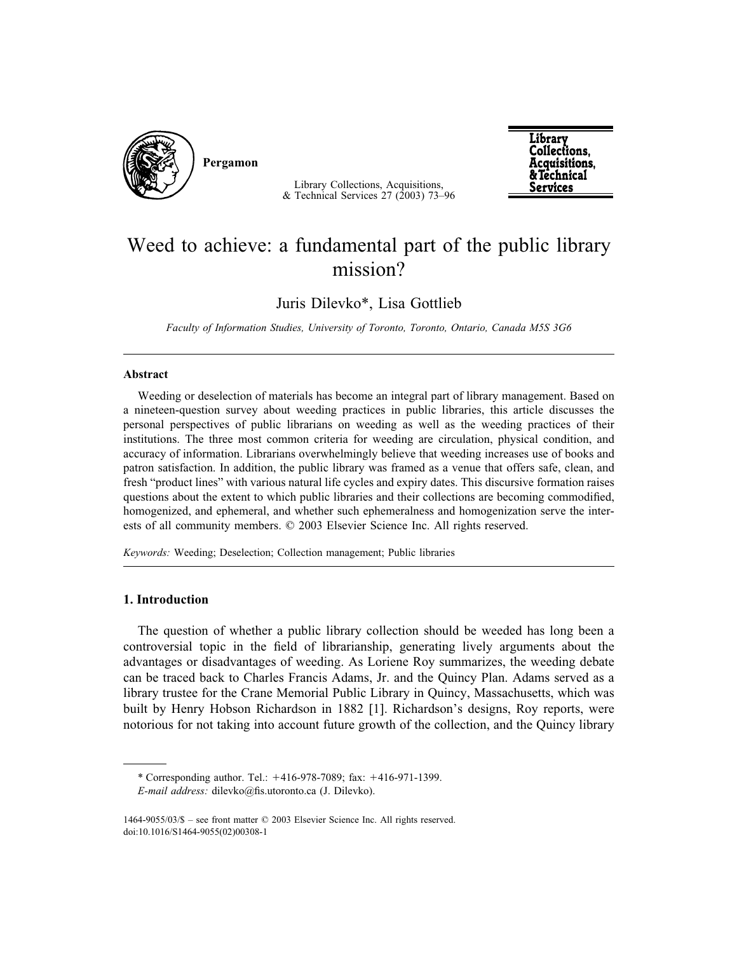

Library Collections, Acquisitions, & Technical Services 27 (2003) 73–96



# Weed to achieve: a fundamental part of the public library mission?

# Juris Dilevko\*, Lisa Gottlieb

*Faculty of Information Studies, University of Toronto, Toronto, Ontario, Canada M5S 3G6*

# **Abstract**

Weeding or deselection of materials has become an integral part of library management. Based on a nineteen-question survey about weeding practices in public libraries, this article discusses the personal perspectives of public librarians on weeding as well as the weeding practices of their institutions. The three most common criteria for weeding are circulation, physical condition, and accuracy of information. Librarians overwhelmingly believe that weeding increases use of books and patron satisfaction. In addition, the public library was framed as a venue that offers safe, clean, and fresh "product lines" with various natural life cycles and expiry dates. This discursive formation raises questions about the extent to which public libraries and their collections are becoming commodified, homogenized, and ephemeral, and whether such ephemeralness and homogenization serve the interests of all community members. © 2003 Elsevier Science Inc. All rights reserved.

*Keywords:* Weeding; Deselection; Collection management; Public libraries

# **1. Introduction**

The question of whether a public library collection should be weeded has long been a controversial topic in the field of librarianship, generating lively arguments about the advantages or disadvantages of weeding. As Loriene Roy summarizes, the weeding debate can be traced back to Charles Francis Adams, Jr. and the Quincy Plan. Adams served as a library trustee for the Crane Memorial Public Library in Quincy, Massachusetts, which was built by Henry Hobson Richardson in 1882 [1]. Richardson's designs, Roy reports, were notorious for not taking into account future growth of the collection, and the Quincy library

<sup>\*</sup> Corresponding author. Tel.:  $+416-978-7089$ ; fax:  $+416-971-1399$ .

*E-mail address:* dilevko@fis.utoronto.ca (J. Dilevko).

<sup>1464-9055/03/\$ –</sup> see front matter © 2003 Elsevier Science Inc. All rights reserved. doi:10.1016/S1464-9055(02)00308-1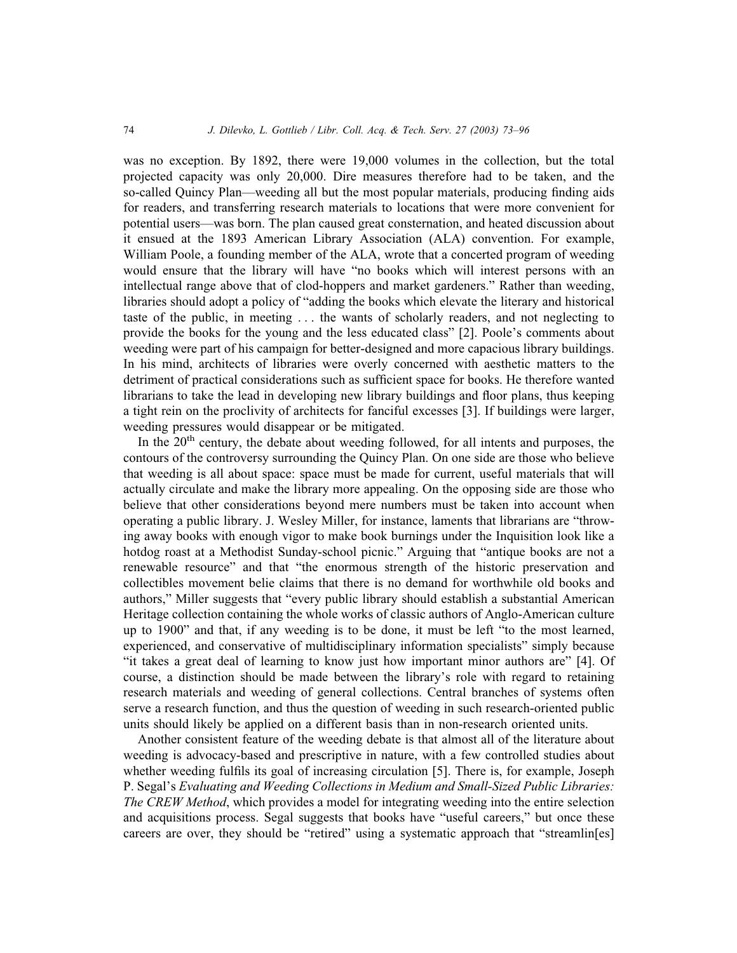was no exception. By 1892, there were 19,000 volumes in the collection, but the total projected capacity was only 20,000. Dire measures therefore had to be taken, and the so-called Quincy Plan—weeding all but the most popular materials, producing finding aids for readers, and transferring research materials to locations that were more convenient for potential users—was born. The plan caused great consternation, and heated discussion about it ensued at the 1893 American Library Association (ALA) convention. For example, William Poole, a founding member of the ALA, wrote that a concerted program of weeding would ensure that the library will have "no books which will interest persons with an intellectual range above that of clod-hoppers and market gardeners." Rather than weeding, libraries should adopt a policy of "adding the books which elevate the literary and historical taste of the public, in meeting . . . the wants of scholarly readers, and not neglecting to provide the books for the young and the less educated class" [2]. Poole's comments about weeding were part of his campaign for better-designed and more capacious library buildings. In his mind, architects of libraries were overly concerned with aesthetic matters to the detriment of practical considerations such as sufficient space for books. He therefore wanted librarians to take the lead in developing new library buildings and floor plans, thus keeping a tight rein on the proclivity of architects for fanciful excesses [3]. If buildings were larger, weeding pressures would disappear or be mitigated.

In the  $20<sup>th</sup>$  century, the debate about weeding followed, for all intents and purposes, the contours of the controversy surrounding the Quincy Plan. On one side are those who believe that weeding is all about space: space must be made for current, useful materials that will actually circulate and make the library more appealing. On the opposing side are those who believe that other considerations beyond mere numbers must be taken into account when operating a public library. J. Wesley Miller, for instance, laments that librarians are "throwing away books with enough vigor to make book burnings under the Inquisition look like a hotdog roast at a Methodist Sunday-school picnic." Arguing that "antique books are not a renewable resource" and that "the enormous strength of the historic preservation and collectibles movement belie claims that there is no demand for worthwhile old books and authors," Miller suggests that "every public library should establish a substantial American Heritage collection containing the whole works of classic authors of Anglo-American culture up to 1900" and that, if any weeding is to be done, it must be left "to the most learned, experienced, and conservative of multidisciplinary information specialists" simply because "it takes a great deal of learning to know just how important minor authors are" [4]. Of course, a distinction should be made between the library's role with regard to retaining research materials and weeding of general collections. Central branches of systems often serve a research function, and thus the question of weeding in such research-oriented public units should likely be applied on a different basis than in non-research oriented units.

Another consistent feature of the weeding debate is that almost all of the literature about weeding is advocacy-based and prescriptive in nature, with a few controlled studies about whether weeding fulfils its goal of increasing circulation [5]. There is, for example, Joseph P. Segal's *Evaluating and Weeding Collections in Medium and Small-Sized Public Libraries: The CREW Method*, which provides a model for integrating weeding into the entire selection and acquisitions process. Segal suggests that books have "useful careers," but once these careers are over, they should be "retired" using a systematic approach that "streamlin[es]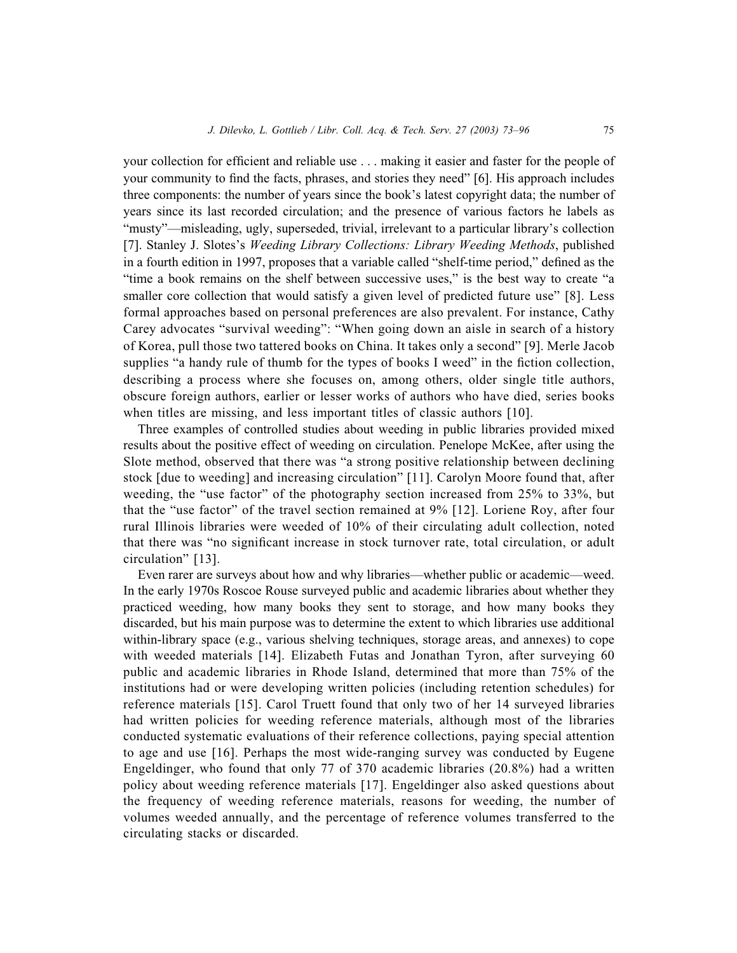your collection for efficient and reliable use . . . making it easier and faster for the people of your community to find the facts, phrases, and stories they need" [6]. His approach includes three components: the number of years since the book's latest copyright data; the number of years since its last recorded circulation; and the presence of various factors he labels as "musty"—misleading, ugly, superseded, trivial, irrelevant to a particular library's collection [7]. Stanley J. Slotes's *Weeding Library Collections: Library Weeding Methods*, published in a fourth edition in 1997, proposes that a variable called "shelf-time period," defined as the "time a book remains on the shelf between successive uses," is the best way to create "a smaller core collection that would satisfy a given level of predicted future use" [8]. Less formal approaches based on personal preferences are also prevalent. For instance, Cathy Carey advocates "survival weeding": "When going down an aisle in search of a history of Korea, pull those two tattered books on China. It takes only a second" [9]. Merle Jacob supplies "a handy rule of thumb for the types of books I weed" in the fiction collection, describing a process where she focuses on, among others, older single title authors, obscure foreign authors, earlier or lesser works of authors who have died, series books when titles are missing, and less important titles of classic authors [10].

Three examples of controlled studies about weeding in public libraries provided mixed results about the positive effect of weeding on circulation. Penelope McKee, after using the Slote method, observed that there was "a strong positive relationship between declining stock [due to weeding] and increasing circulation" [11]. Carolyn Moore found that, after weeding, the "use factor" of the photography section increased from 25% to 33%, but that the "use factor" of the travel section remained at 9% [12]. Loriene Roy, after four rural Illinois libraries were weeded of 10% of their circulating adult collection, noted that there was "no significant increase in stock turnover rate, total circulation, or adult circulation" [13].

Even rarer are surveys about how and why libraries—whether public or academic—weed. In the early 1970s Roscoe Rouse surveyed public and academic libraries about whether they practiced weeding, how many books they sent to storage, and how many books they discarded, but his main purpose was to determine the extent to which libraries use additional within-library space (e.g., various shelving techniques, storage areas, and annexes) to cope with weeded materials [14]. Elizabeth Futas and Jonathan Tyron, after surveying 60 public and academic libraries in Rhode Island, determined that more than 75% of the institutions had or were developing written policies (including retention schedules) for reference materials [15]. Carol Truett found that only two of her 14 surveyed libraries had written policies for weeding reference materials, although most of the libraries conducted systematic evaluations of their reference collections, paying special attention to age and use [16]. Perhaps the most wide-ranging survey was conducted by Eugene Engeldinger, who found that only 77 of 370 academic libraries (20.8%) had a written policy about weeding reference materials [17]. Engeldinger also asked questions about the frequency of weeding reference materials, reasons for weeding, the number of volumes weeded annually, and the percentage of reference volumes transferred to the circulating stacks or discarded.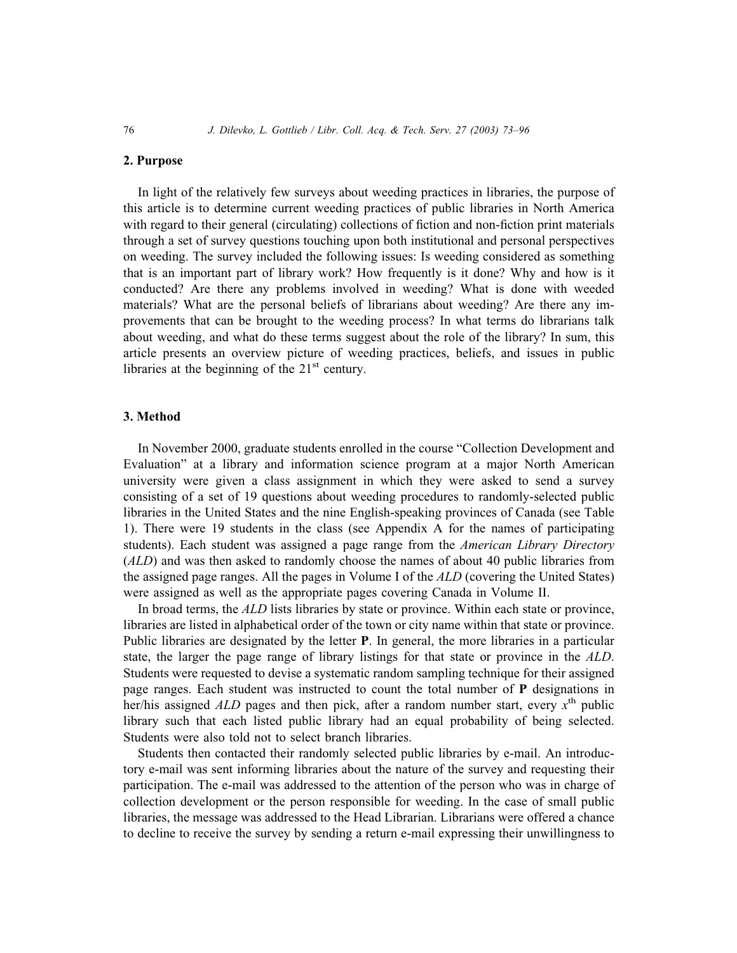# **2. Purpose**

In light of the relatively few surveys about weeding practices in libraries, the purpose of this article is to determine current weeding practices of public libraries in North America with regard to their general (circulating) collections of fiction and non-fiction print materials through a set of survey questions touching upon both institutional and personal perspectives on weeding. The survey included the following issues: Is weeding considered as something that is an important part of library work? How frequently is it done? Why and how is it conducted? Are there any problems involved in weeding? What is done with weeded materials? What are the personal beliefs of librarians about weeding? Are there any improvements that can be brought to the weeding process? In what terms do librarians talk about weeding, and what do these terms suggest about the role of the library? In sum, this article presents an overview picture of weeding practices, beliefs, and issues in public libraries at the beginning of the  $21<sup>st</sup>$  century.

# **3. Method**

In November 2000, graduate students enrolled in the course "Collection Development and Evaluation" at a library and information science program at a major North American university were given a class assignment in which they were asked to send a survey consisting of a set of 19 questions about weeding procedures to randomly-selected public libraries in the United States and the nine English-speaking provinces of Canada (see Table 1). There were 19 students in the class (see Appendix A for the names of participating students). Each student was assigned a page range from the *American Library Directory* (*ALD*) and was then asked to randomly choose the names of about 40 public libraries from the assigned page ranges. All the pages in Volume I of the *ALD* (covering the United States) were assigned as well as the appropriate pages covering Canada in Volume II.

In broad terms, the *ALD* lists libraries by state or province. Within each state or province, libraries are listed in alphabetical order of the town or city name within that state or province. Public libraries are designated by the letter **P**. In general, the more libraries in a particular state, the larger the page range of library listings for that state or province in the *ALD*. Students were requested to devise a systematic random sampling technique for their assigned page ranges. Each student was instructed to count the total number of **P** designations in her/his assigned *ALD* pages and then pick, after a random number start, every *x*<sup>th</sup> public library such that each listed public library had an equal probability of being selected. Students were also told not to select branch libraries.

Students then contacted their randomly selected public libraries by e-mail. An introductory e-mail was sent informing libraries about the nature of the survey and requesting their participation. The e-mail was addressed to the attention of the person who was in charge of collection development or the person responsible for weeding. In the case of small public libraries, the message was addressed to the Head Librarian. Librarians were offered a chance to decline to receive the survey by sending a return e-mail expressing their unwillingness to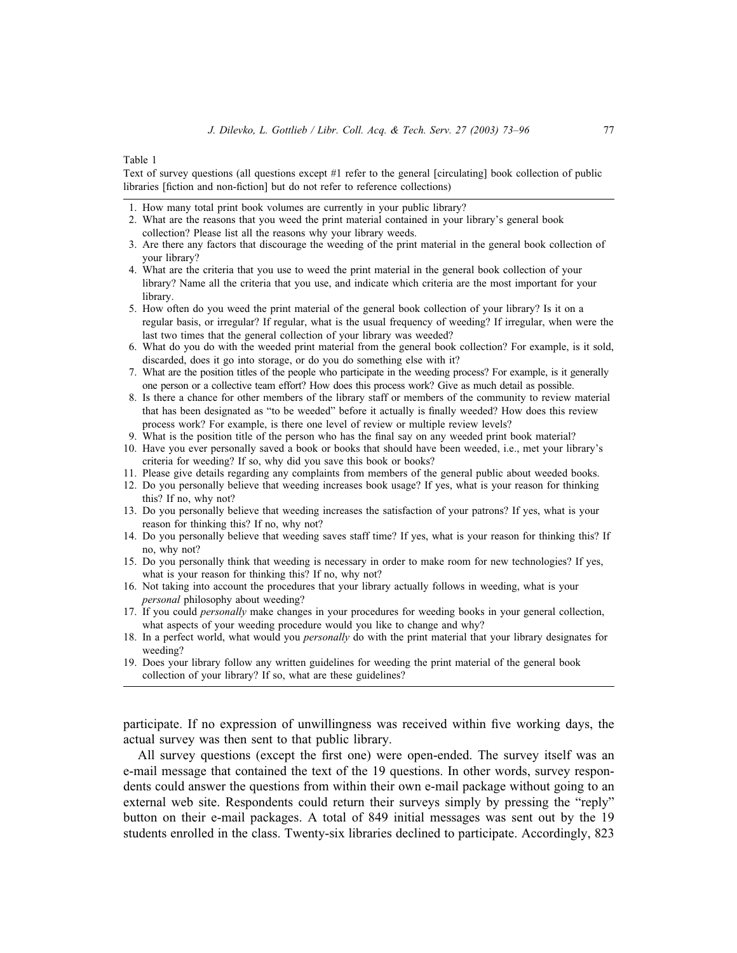Table 1

Text of survey questions (all questions except #1 refer to the general [circulating] book collection of public libraries [fiction and non-fiction] but do not refer to reference collections)

- 1. How many total print book volumes are currently in your public library?
- 2. What are the reasons that you weed the print material contained in your library's general book collection? Please list all the reasons why your library weeds.
- 3. Are there any factors that discourage the weeding of the print material in the general book collection of your library?
- 4. What are the criteria that you use to weed the print material in the general book collection of your library? Name all the criteria that you use, and indicate which criteria are the most important for your library.
- 5. How often do you weed the print material of the general book collection of your library? Is it on a regular basis, or irregular? If regular, what is the usual frequency of weeding? If irregular, when were the last two times that the general collection of your library was weeded?
- 6. What do you do with the weeded print material from the general book collection? For example, is it sold, discarded, does it go into storage, or do you do something else with it?
- 7. What are the position titles of the people who participate in the weeding process? For example, is it generally one person or a collective team effort? How does this process work? Give as much detail as possible.
- 8. Is there a chance for other members of the library staff or members of the community to review material that has been designated as "to be weeded" before it actually is finally weeded? How does this review process work? For example, is there one level of review or multiple review levels?
- 9. What is the position title of the person who has the final say on any weeded print book material?
- 10. Have you ever personally saved a book or books that should have been weeded, i.e., met your library's criteria for weeding? If so, why did you save this book or books?
- 11. Please give details regarding any complaints from members of the general public about weeded books.
- 12. Do you personally believe that weeding increases book usage? If yes, what is your reason for thinking this? If no, why not?
- 13. Do you personally believe that weeding increases the satisfaction of your patrons? If yes, what is your reason for thinking this? If no, why not?
- 14. Do you personally believe that weeding saves staff time? If yes, what is your reason for thinking this? If no, why not?
- 15. Do you personally think that weeding is necessary in order to make room for new technologies? If yes, what is your reason for thinking this? If no, why not?
- 16. Not taking into account the procedures that your library actually follows in weeding, what is your *personal* philosophy about weeding?
- 17. If you could *personally* make changes in your procedures for weeding books in your general collection, what aspects of your weeding procedure would you like to change and why?
- 18. In a perfect world, what would you *personally* do with the print material that your library designates for weeding?
- 19. Does your library follow any written guidelines for weeding the print material of the general book collection of your library? If so, what are these guidelines?

participate. If no expression of unwillingness was received within five working days, the actual survey was then sent to that public library.

All survey questions (except the first one) were open-ended. The survey itself was an e-mail message that contained the text of the 19 questions. In other words, survey respondents could answer the questions from within their own e-mail package without going to an external web site. Respondents could return their surveys simply by pressing the "reply" button on their e-mail packages. A total of 849 initial messages was sent out by the 19 students enrolled in the class. Twenty-six libraries declined to participate. Accordingly, 823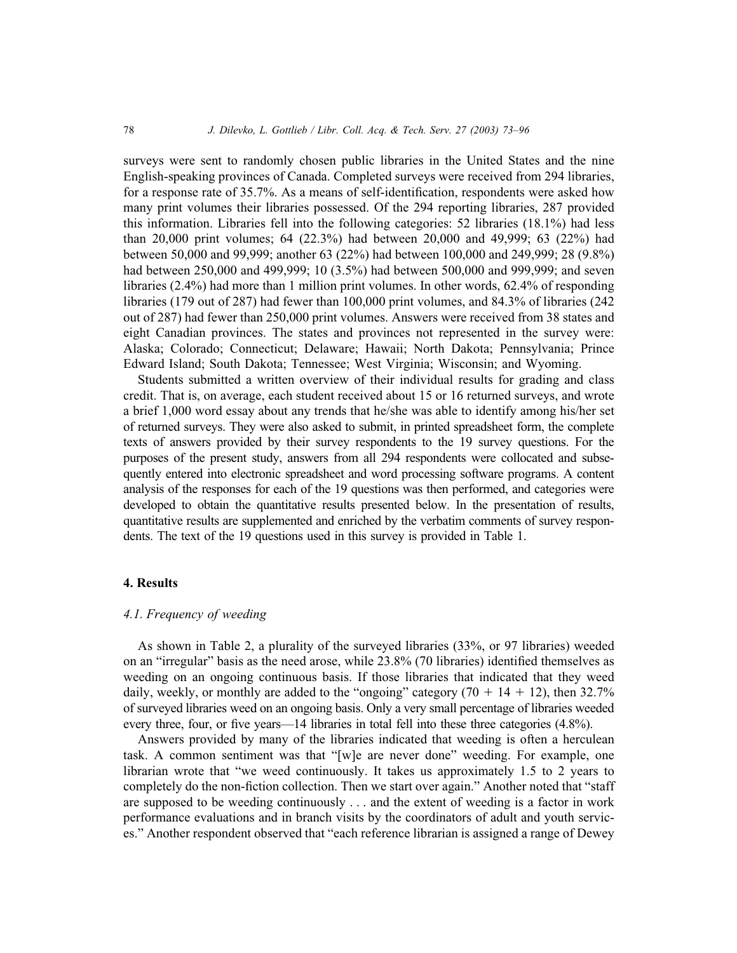surveys were sent to randomly chosen public libraries in the United States and the nine English-speaking provinces of Canada. Completed surveys were received from 294 libraries, for a response rate of 35.7%. As a means of self-identification, respondents were asked how many print volumes their libraries possessed. Of the 294 reporting libraries, 287 provided this information. Libraries fell into the following categories: 52 libraries (18.1%) had less than 20,000 print volumes; 64 (22.3%) had between 20,000 and 49,999; 63 (22%) had between 50,000 and 99,999; another 63 (22%) had between 100,000 and 249,999; 28 (9.8%) had between 250,000 and 499,999; 10 (3.5%) had between 500,000 and 999,999; and seven libraries (2.4%) had more than 1 million print volumes. In other words, 62.4% of responding libraries (179 out of 287) had fewer than 100,000 print volumes, and 84.3% of libraries (242 out of 287) had fewer than 250,000 print volumes. Answers were received from 38 states and eight Canadian provinces. The states and provinces not represented in the survey were: Alaska; Colorado; Connecticut; Delaware; Hawaii; North Dakota; Pennsylvania; Prince Edward Island; South Dakota; Tennessee; West Virginia; Wisconsin; and Wyoming.

Students submitted a written overview of their individual results for grading and class credit. That is, on average, each student received about 15 or 16 returned surveys, and wrote a brief 1,000 word essay about any trends that he/she was able to identify among his/her set of returned surveys. They were also asked to submit, in printed spreadsheet form, the complete texts of answers provided by their survey respondents to the 19 survey questions. For the purposes of the present study, answers from all 294 respondents were collocated and subsequently entered into electronic spreadsheet and word processing software programs. A content analysis of the responses for each of the 19 questions was then performed, and categories were developed to obtain the quantitative results presented below. In the presentation of results, quantitative results are supplemented and enriched by the verbatim comments of survey respondents. The text of the 19 questions used in this survey is provided in Table 1.

# **4. Results**

# *4.1. Frequency of weeding*

As shown in Table 2, a plurality of the surveyed libraries (33%, or 97 libraries) weeded on an "irregular" basis as the need arose, while 23.8% (70 libraries) identified themselves as weeding on an ongoing continuous basis. If those libraries that indicated that they weed daily, weekly, or monthly are added to the "ongoing" category  $(70 + 14 + 12)$ , then 32.7% of surveyed libraries weed on an ongoing basis. Only a very small percentage of libraries weeded every three, four, or five years—14 libraries in total fell into these three categories (4.8%).

Answers provided by many of the libraries indicated that weeding is often a herculean task. A common sentiment was that "[w]e are never done" weeding. For example, one librarian wrote that "we weed continuously. It takes us approximately 1.5 to 2 years to completely do the non-fiction collection. Then we start over again." Another noted that "staff are supposed to be weeding continuously . . . and the extent of weeding is a factor in work performance evaluations and in branch visits by the coordinators of adult and youth services." Another respondent observed that "each reference librarian is assigned a range of Dewey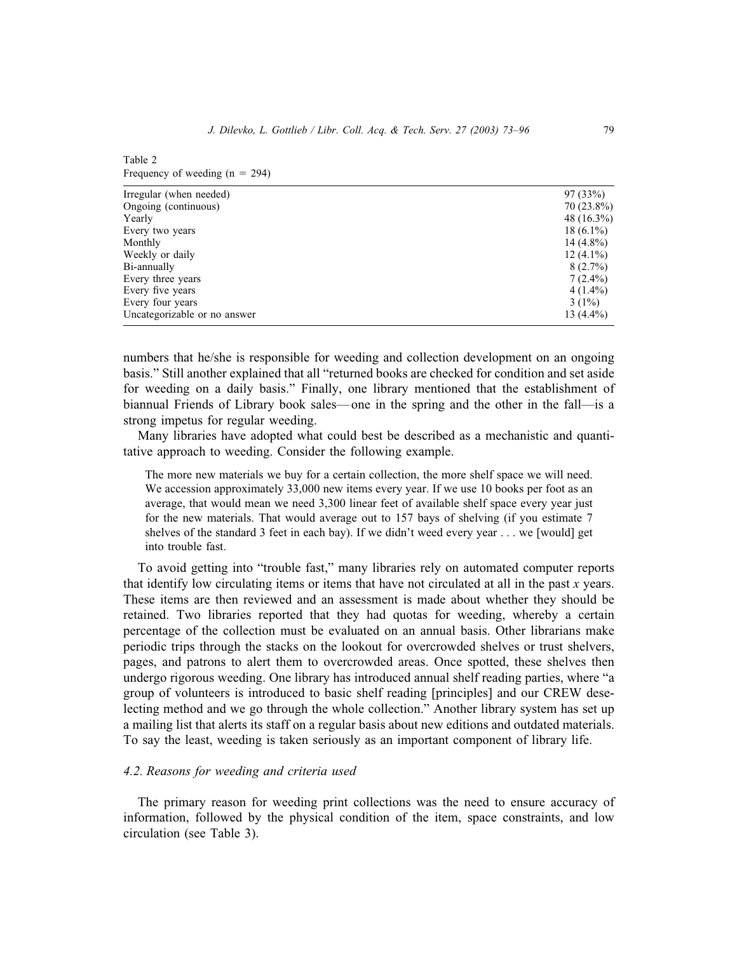| Table 2                          |  |
|----------------------------------|--|
| Frequency of weeding $(n = 294)$ |  |

| Irregular (when needed)      | 97(33%)      |
|------------------------------|--------------|
| Ongoing (continuous)         | 70 (23.8%)   |
| Yearly                       | 48 (16.3%)   |
| Every two years              | $18(6.1\%)$  |
| Monthly                      | $14(4.8\%)$  |
| Weekly or daily              | $12(4.1\%)$  |
| Bi-annually                  | $8(2.7\%)$   |
| Every three years            | $7(2.4\%)$   |
| Every five years             | $4(1.4\%)$   |
| Every four years             | $3(1\%)$     |
| Uncategorizable or no answer | 13 $(4.4\%)$ |
|                              |              |

numbers that he/she is responsible for weeding and collection development on an ongoing basis." Still another explained that all "returned books are checked for condition and set aside for weeding on a daily basis." Finally, one library mentioned that the establishment of biannual Friends of Library book sales— one in the spring and the other in the fall—is a strong impetus for regular weeding.

Many libraries have adopted what could best be described as a mechanistic and quantitative approach to weeding. Consider the following example.

The more new materials we buy for a certain collection, the more shelf space we will need. We accession approximately 33,000 new items every year. If we use 10 books per foot as an average, that would mean we need 3,300 linear feet of available shelf space every year just for the new materials. That would average out to 157 bays of shelving (if you estimate 7 shelves of the standard 3 feet in each bay). If we didn't weed every year . . . we [would] get into trouble fast.

To avoid getting into "trouble fast," many libraries rely on automated computer reports that identify low circulating items or items that have not circulated at all in the past *x* years. These items are then reviewed and an assessment is made about whether they should be retained. Two libraries reported that they had quotas for weeding, whereby a certain percentage of the collection must be evaluated on an annual basis. Other librarians make periodic trips through the stacks on the lookout for overcrowded shelves or trust shelvers, pages, and patrons to alert them to overcrowded areas. Once spotted, these shelves then undergo rigorous weeding. One library has introduced annual shelf reading parties, where "a group of volunteers is introduced to basic shelf reading [principles] and our CREW deselecting method and we go through the whole collection." Another library system has set up a mailing list that alerts its staff on a regular basis about new editions and outdated materials. To say the least, weeding is taken seriously as an important component of library life.

### *4.2. Reasons for weeding and criteria used*

The primary reason for weeding print collections was the need to ensure accuracy of information, followed by the physical condition of the item, space constraints, and low circulation (see Table 3).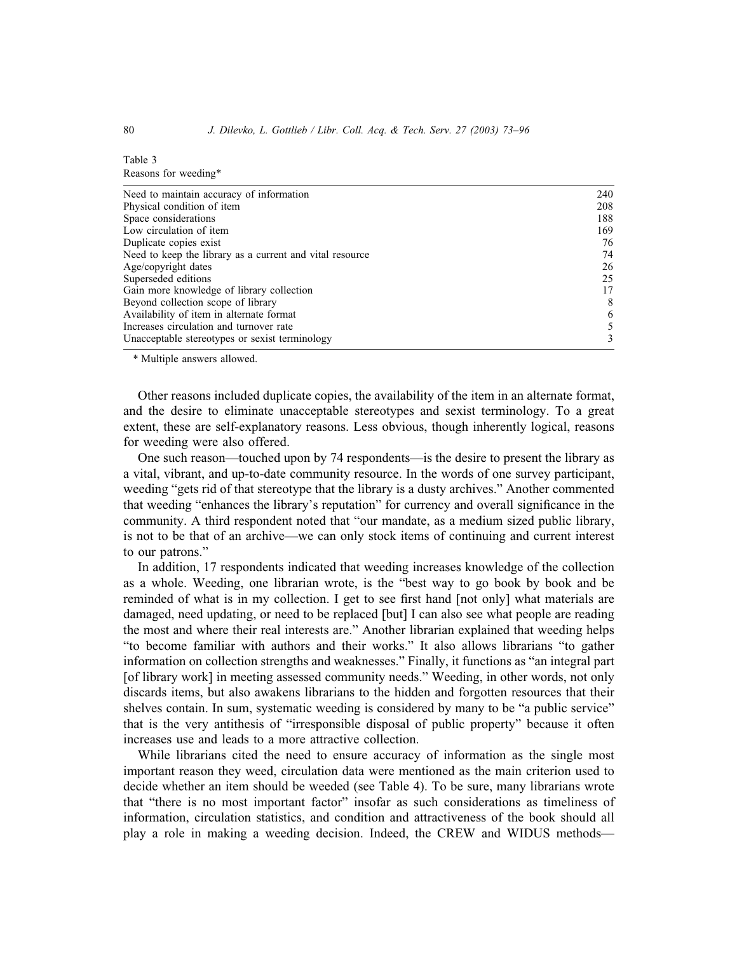| Table 3 |                      |  |
|---------|----------------------|--|
|         | Reasons for weeding* |  |

| Need to maintain accuracy of information                 | 240 |
|----------------------------------------------------------|-----|
| Physical condition of item                               | 208 |
| Space considerations                                     | 188 |
| Low circulation of item                                  | 169 |
| Duplicate copies exist                                   | 76  |
| Need to keep the library as a current and vital resource | 74  |
| Age/copyright dates                                      | 26  |
| Superseded editions                                      | 25  |
| Gain more knowledge of library collection                | 17  |
| Beyond collection scope of library                       | 8   |
| Availability of item in alternate format                 | 6   |
| Increases circulation and turnover rate                  | 5   |
| Unacceptable stereotypes or sexist terminology           | 3   |

\* Multiple answers allowed.

Other reasons included duplicate copies, the availability of the item in an alternate format, and the desire to eliminate unacceptable stereotypes and sexist terminology. To a great extent, these are self-explanatory reasons. Less obvious, though inherently logical, reasons for weeding were also offered.

One such reason—touched upon by 74 respondents—is the desire to present the library as a vital, vibrant, and up-to-date community resource. In the words of one survey participant, weeding "gets rid of that stereotype that the library is a dusty archives." Another commented that weeding "enhances the library's reputation" for currency and overall significance in the community. A third respondent noted that "our mandate, as a medium sized public library, is not to be that of an archive—we can only stock items of continuing and current interest to our patrons."

In addition, 17 respondents indicated that weeding increases knowledge of the collection as a whole. Weeding, one librarian wrote, is the "best way to go book by book and be reminded of what is in my collection. I get to see first hand [not only] what materials are damaged, need updating, or need to be replaced [but] I can also see what people are reading the most and where their real interests are." Another librarian explained that weeding helps "to become familiar with authors and their works." It also allows librarians "to gather information on collection strengths and weaknesses." Finally, it functions as "an integral part [of library work] in meeting assessed community needs." Weeding, in other words, not only discards items, but also awakens librarians to the hidden and forgotten resources that their shelves contain. In sum, systematic weeding is considered by many to be "a public service" that is the very antithesis of "irresponsible disposal of public property" because it often increases use and leads to a more attractive collection.

While librarians cited the need to ensure accuracy of information as the single most important reason they weed, circulation data were mentioned as the main criterion used to decide whether an item should be weeded (see Table 4). To be sure, many librarians wrote that "there is no most important factor" insofar as such considerations as timeliness of information, circulation statistics, and condition and attractiveness of the book should all play a role in making a weeding decision. Indeed, the CREW and WIDUS methods—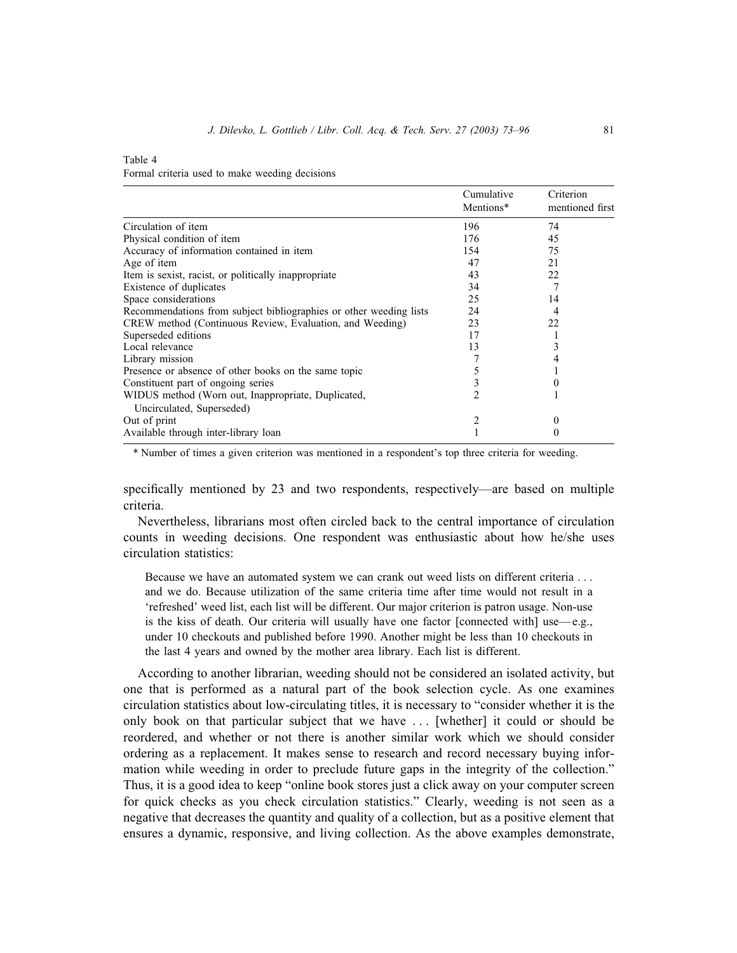|                                                                    | Cumulative | Criterion       |
|--------------------------------------------------------------------|------------|-----------------|
|                                                                    | Mentions*  | mentioned first |
| Circulation of item                                                | 196        | 74              |
| Physical condition of item                                         | 176        | 45              |
| Accuracy of information contained in item                          | 154        | 75              |
| Age of item                                                        | 47         | 21              |
| Item is sexist, racist, or politically inappropriate               | 43         | 22              |
| Existence of duplicates                                            | 34         |                 |
| Space considerations                                               | 25         | 14              |
| Recommendations from subject bibliographies or other weeding lists | 24         |                 |
| CREW method (Continuous Review, Evaluation, and Weeding)           | 23         | 22              |
| Superseded editions                                                | 17         |                 |
| Local relevance                                                    | 13         |                 |
| Library mission                                                    |            |                 |
| Presence or absence of other books on the same topic               |            |                 |
| Constituent part of ongoing series                                 |            |                 |
| WIDUS method (Worn out, Inappropriate, Duplicated,                 |            |                 |
| Uncirculated, Superseded)                                          |            |                 |
| Out of print                                                       | 2          | 0               |
| Available through inter-library loan                               |            | $\theta$        |

Table 4 Formal criteria used to make weeding decisions

\* Number of times a given criterion was mentioned in a respondent's top three criteria for weeding.

specifically mentioned by 23 and two respondents, respectively—are based on multiple criteria.

Nevertheless, librarians most often circled back to the central importance of circulation counts in weeding decisions. One respondent was enthusiastic about how he/she uses circulation statistics:

Because we have an automated system we can crank out weed lists on different criteria . . . and we do. Because utilization of the same criteria time after time would not result in a 'refreshed' weed list, each list will be different. Our major criterion is patron usage. Non-use is the kiss of death. Our criteria will usually have one factor [connected with] use— e.g., under 10 checkouts and published before 1990. Another might be less than 10 checkouts in the last 4 years and owned by the mother area library. Each list is different.

According to another librarian, weeding should not be considered an isolated activity, but one that is performed as a natural part of the book selection cycle. As one examines circulation statistics about low-circulating titles, it is necessary to "consider whether it is the only book on that particular subject that we have . . . [whether] it could or should be reordered, and whether or not there is another similar work which we should consider ordering as a replacement. It makes sense to research and record necessary buying information while weeding in order to preclude future gaps in the integrity of the collection." Thus, it is a good idea to keep "online book stores just a click away on your computer screen for quick checks as you check circulation statistics." Clearly, weeding is not seen as a negative that decreases the quantity and quality of a collection, but as a positive element that ensures a dynamic, responsive, and living collection. As the above examples demonstrate,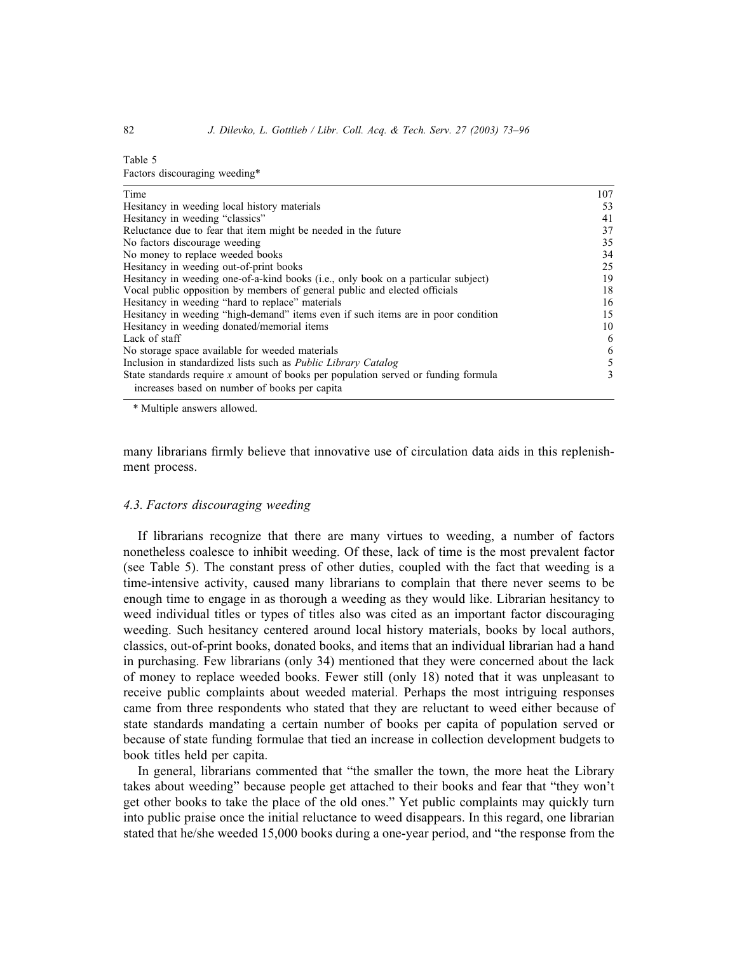Table 5 Factors discouraging weeding\*

| Time                                                                               | 107 |
|------------------------------------------------------------------------------------|-----|
| Hesitancy in weeding local history materials                                       | 53  |
| Hesitancy in weeding "classics"                                                    | 41  |
| Reluctance due to fear that item might be needed in the future                     | 37  |
| No factors discourage weeding                                                      | 35  |
| No money to replace weeded books                                                   | 34  |
| Hesitancy in weeding out-of-print books                                            | 25  |
| Hesitancy in weeding one-of-a-kind books (i.e., only book on a particular subject) | 19  |
| Vocal public opposition by members of general public and elected officials         | 18  |
| Hesitancy in weeding "hard to replace" materials                                   | 16  |
| Hesitancy in weeding "high-demand" items even if such items are in poor condition  | 15  |
| Hesitancy in weeding donated/memorial items                                        | 10  |
| Lack of staff                                                                      | 6   |
| No storage space available for weeded materials                                    | 6   |
| Inclusion in standardized lists such as <i>Public Library Catalog</i>              | 5   |
| State standards require x amount of books per population served or funding formula | 3   |
| increases based on number of books per capita                                      |     |

\* Multiple answers allowed.

many librarians firmly believe that innovative use of circulation data aids in this replenishment process.

# *4.3. Factors discouraging weeding*

If librarians recognize that there are many virtues to weeding, a number of factors nonetheless coalesce to inhibit weeding. Of these, lack of time is the most prevalent factor (see Table 5). The constant press of other duties, coupled with the fact that weeding is a time-intensive activity, caused many librarians to complain that there never seems to be enough time to engage in as thorough a weeding as they would like. Librarian hesitancy to weed individual titles or types of titles also was cited as an important factor discouraging weeding. Such hesitancy centered around local history materials, books by local authors, classics, out-of-print books, donated books, and items that an individual librarian had a hand in purchasing. Few librarians (only 34) mentioned that they were concerned about the lack of money to replace weeded books. Fewer still (only 18) noted that it was unpleasant to receive public complaints about weeded material. Perhaps the most intriguing responses came from three respondents who stated that they are reluctant to weed either because of state standards mandating a certain number of books per capita of population served or because of state funding formulae that tied an increase in collection development budgets to book titles held per capita.

In general, librarians commented that "the smaller the town, the more heat the Library takes about weeding" because people get attached to their books and fear that "they won't get other books to take the place of the old ones." Yet public complaints may quickly turn into public praise once the initial reluctance to weed disappears. In this regard, one librarian stated that he/she weeded 15,000 books during a one-year period, and "the response from the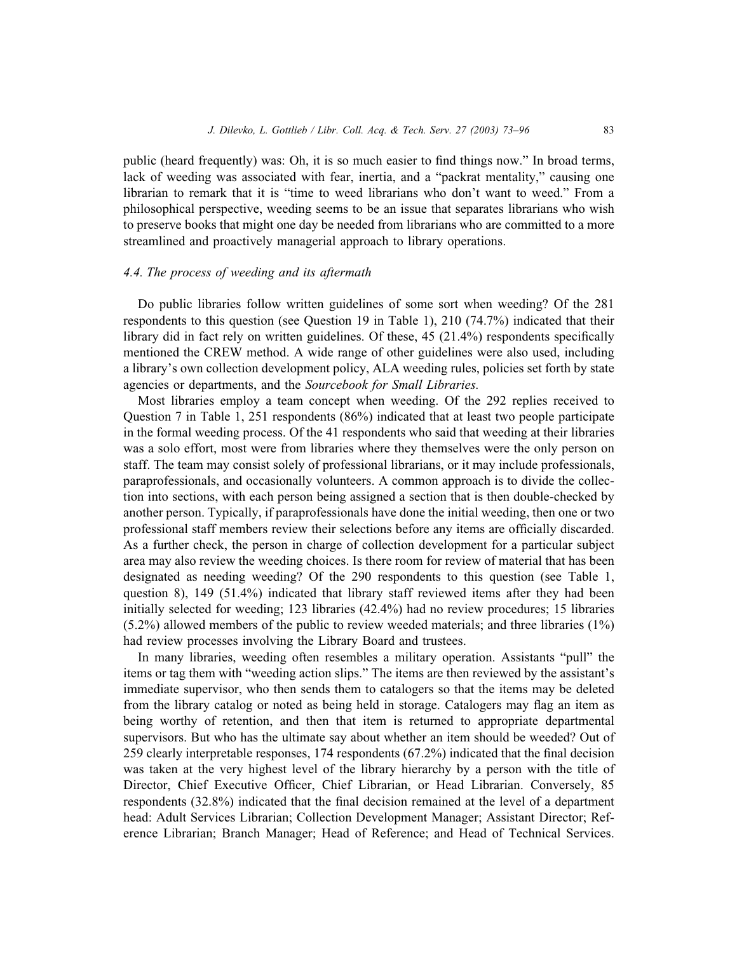public (heard frequently) was: Oh, it is so much easier to find things now." In broad terms, lack of weeding was associated with fear, inertia, and a "packrat mentality," causing one librarian to remark that it is "time to weed librarians who don't want to weed." From a philosophical perspective, weeding seems to be an issue that separates librarians who wish to preserve books that might one day be needed from librarians who are committed to a more streamlined and proactively managerial approach to library operations.

# *4.4. The process of weeding and its aftermath*

Do public libraries follow written guidelines of some sort when weeding? Of the 281 respondents to this question (see Question 19 in Table 1), 210 (74.7%) indicated that their library did in fact rely on written guidelines. Of these, 45 (21.4%) respondents specifically mentioned the CREW method. A wide range of other guidelines were also used, including a library's own collection development policy, ALA weeding rules, policies set forth by state agencies or departments, and the *Sourcebook for Small Libraries.*

Most libraries employ a team concept when weeding. Of the 292 replies received to Question 7 in Table 1, 251 respondents (86%) indicated that at least two people participate in the formal weeding process. Of the 41 respondents who said that weeding at their libraries was a solo effort, most were from libraries where they themselves were the only person on staff. The team may consist solely of professional librarians, or it may include professionals, paraprofessionals, and occasionally volunteers. A common approach is to divide the collection into sections, with each person being assigned a section that is then double-checked by another person. Typically, if paraprofessionals have done the initial weeding, then one or two professional staff members review their selections before any items are officially discarded. As a further check, the person in charge of collection development for a particular subject area may also review the weeding choices. Is there room for review of material that has been designated as needing weeding? Of the 290 respondents to this question (see Table 1, question 8), 149 (51.4%) indicated that library staff reviewed items after they had been initially selected for weeding; 123 libraries (42.4%) had no review procedures; 15 libraries (5.2%) allowed members of the public to review weeded materials; and three libraries (1%) had review processes involving the Library Board and trustees.

In many libraries, weeding often resembles a military operation. Assistants "pull" the items or tag them with "weeding action slips." The items are then reviewed by the assistant's immediate supervisor, who then sends them to catalogers so that the items may be deleted from the library catalog or noted as being held in storage. Catalogers may flag an item as being worthy of retention, and then that item is returned to appropriate departmental supervisors. But who has the ultimate say about whether an item should be weeded? Out of 259 clearly interpretable responses, 174 respondents (67.2%) indicated that the final decision was taken at the very highest level of the library hierarchy by a person with the title of Director, Chief Executive Officer, Chief Librarian, or Head Librarian. Conversely, 85 respondents (32.8%) indicated that the final decision remained at the level of a department head: Adult Services Librarian; Collection Development Manager; Assistant Director; Reference Librarian; Branch Manager; Head of Reference; and Head of Technical Services.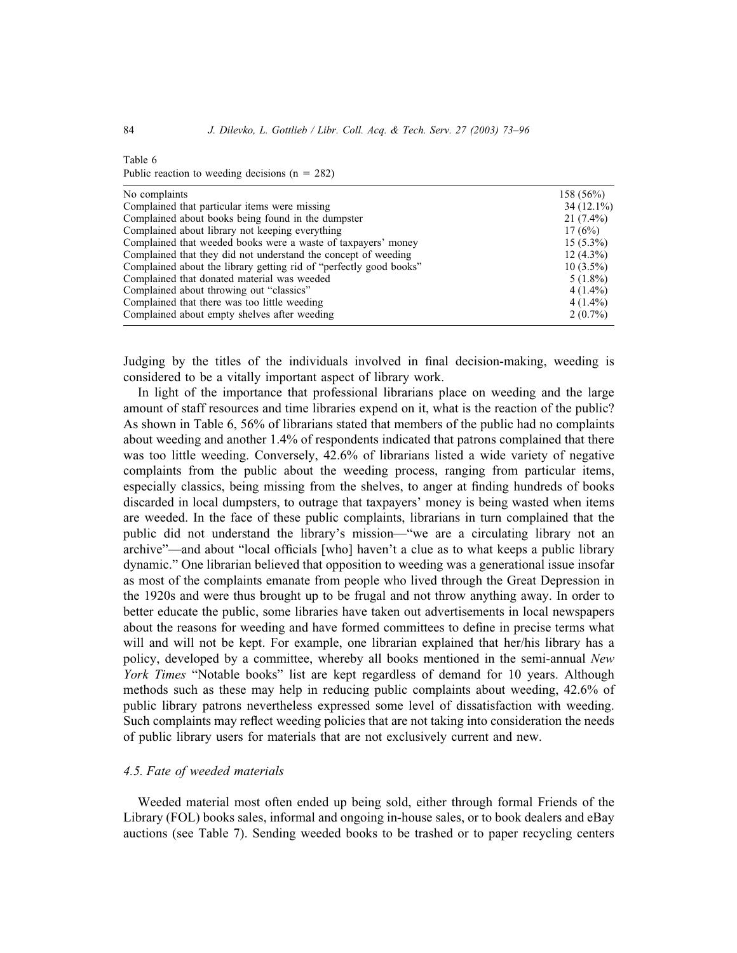| Table 6                                            |  |  |  |
|----------------------------------------------------|--|--|--|
| Public reaction to weeding decisions ( $n = 282$ ) |  |  |  |

| No complaints                                                      | $158(56\%)$  |
|--------------------------------------------------------------------|--------------|
| Complained that particular items were missing                      | $34(12.1\%)$ |
| Complained about books being found in the dumpster                 | $21(7.4\%)$  |
| Complained about library not keeping everything                    | 17(6%)       |
| Complained that weeded books were a waste of taxpayers' money      | $15(5.3\%)$  |
| Complained that they did not understand the concept of weeding     | $12(4.3\%)$  |
| Complained about the library getting rid of "perfectly good books" | $10(3.5\%)$  |
| Complained that donated material was weeded                        | $5(1.8\%)$   |
| Complained about throwing out "classics"                           | $4(1.4\%)$   |
| Complained that there was too little weeding                       | $4(1.4\%)$   |
| Complained about empty shelves after weeding                       | $2(0.7\%)$   |

Judging by the titles of the individuals involved in final decision-making, weeding is considered to be a vitally important aspect of library work.

In light of the importance that professional librarians place on weeding and the large amount of staff resources and time libraries expend on it, what is the reaction of the public? As shown in Table 6, 56% of librarians stated that members of the public had no complaints about weeding and another 1.4% of respondents indicated that patrons complained that there was too little weeding. Conversely, 42.6% of librarians listed a wide variety of negative complaints from the public about the weeding process, ranging from particular items, especially classics, being missing from the shelves, to anger at finding hundreds of books discarded in local dumpsters, to outrage that taxpayers' money is being wasted when items are weeded. In the face of these public complaints, librarians in turn complained that the public did not understand the library's mission—"we are a circulating library not an archive"—and about "local officials [who] haven't a clue as to what keeps a public library dynamic." One librarian believed that opposition to weeding was a generational issue insofar as most of the complaints emanate from people who lived through the Great Depression in the 1920s and were thus brought up to be frugal and not throw anything away. In order to better educate the public, some libraries have taken out advertisements in local newspapers about the reasons for weeding and have formed committees to define in precise terms what will and will not be kept. For example, one librarian explained that her/his library has a policy, developed by a committee, whereby all books mentioned in the semi-annual *New York Times* "Notable books" list are kept regardless of demand for 10 years. Although methods such as these may help in reducing public complaints about weeding, 42.6% of public library patrons nevertheless expressed some level of dissatisfaction with weeding. Such complaints may reflect weeding policies that are not taking into consideration the needs of public library users for materials that are not exclusively current and new.

# *4.5. Fate of weeded materials*

Weeded material most often ended up being sold, either through formal Friends of the Library (FOL) books sales, informal and ongoing in-house sales, or to book dealers and eBay auctions (see Table 7). Sending weeded books to be trashed or to paper recycling centers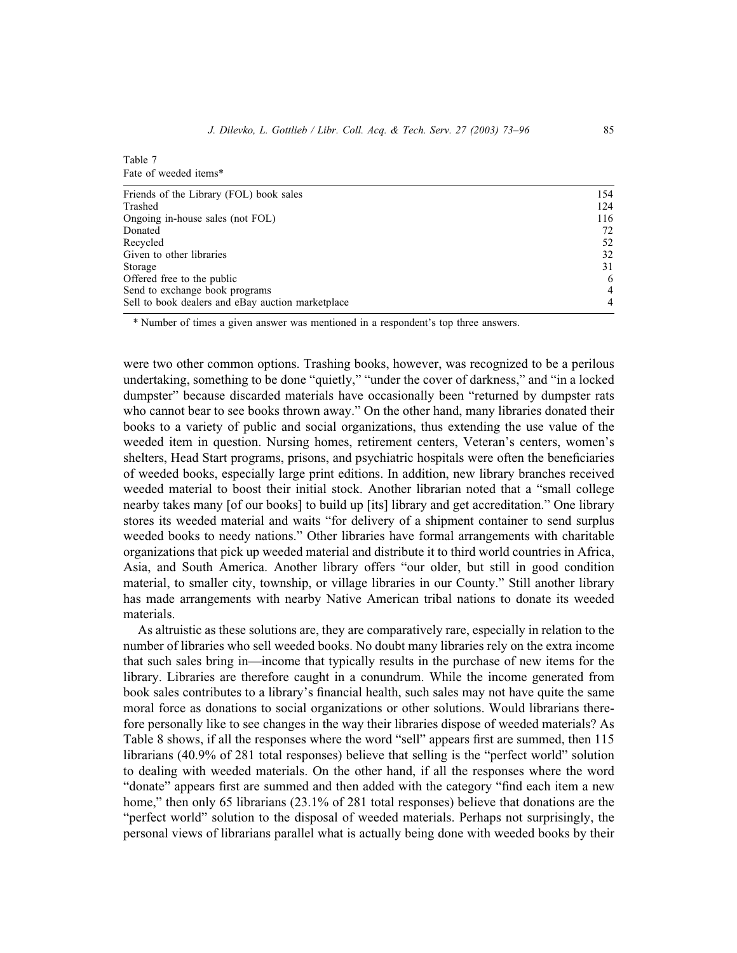| Fate of weeded items*                             |     |
|---------------------------------------------------|-----|
| Friends of the Library (FOL) book sales           | 154 |
| Trashed                                           | 124 |
| Ongoing in-house sales (not FOL)                  | 116 |
| Donated                                           | 72  |
| Recycled                                          | 52  |
| Given to other libraries                          | 32  |
| Storage                                           | 31  |
| Offered free to the public                        | 6   |
| Send to exchange book programs                    | 4   |
| Sell to book dealers and eBay auction marketplace | 4   |

\* Number of times a given answer was mentioned in a respondent's top three answers.

Table 7

were two other common options. Trashing books, however, was recognized to be a perilous undertaking, something to be done "quietly," "under the cover of darkness," and "in a locked dumpster" because discarded materials have occasionally been "returned by dumpster rats who cannot bear to see books thrown away." On the other hand, many libraries donated their books to a variety of public and social organizations, thus extending the use value of the weeded item in question. Nursing homes, retirement centers, Veteran's centers, women's shelters, Head Start programs, prisons, and psychiatric hospitals were often the beneficiaries of weeded books, especially large print editions. In addition, new library branches received weeded material to boost their initial stock. Another librarian noted that a "small college nearby takes many [of our books] to build up [its] library and get accreditation." One library stores its weeded material and waits "for delivery of a shipment container to send surplus weeded books to needy nations." Other libraries have formal arrangements with charitable organizations that pick up weeded material and distribute it to third world countries in Africa, Asia, and South America. Another library offers "our older, but still in good condition material, to smaller city, township, or village libraries in our County." Still another library has made arrangements with nearby Native American tribal nations to donate its weeded materials.

As altruistic as these solutions are, they are comparatively rare, especially in relation to the number of libraries who sell weeded books. No doubt many libraries rely on the extra income that such sales bring in—income that typically results in the purchase of new items for the library. Libraries are therefore caught in a conundrum. While the income generated from book sales contributes to a library's financial health, such sales may not have quite the same moral force as donations to social organizations or other solutions. Would librarians therefore personally like to see changes in the way their libraries dispose of weeded materials? As Table 8 shows, if all the responses where the word "sell" appears first are summed, then 115 librarians (40.9% of 281 total responses) believe that selling is the "perfect world" solution to dealing with weeded materials. On the other hand, if all the responses where the word "donate" appears first are summed and then added with the category "find each item a new home," then only 65 librarians (23.1% of 281 total responses) believe that donations are the "perfect world" solution to the disposal of weeded materials. Perhaps not surprisingly, the personal views of librarians parallel what is actually being done with weeded books by their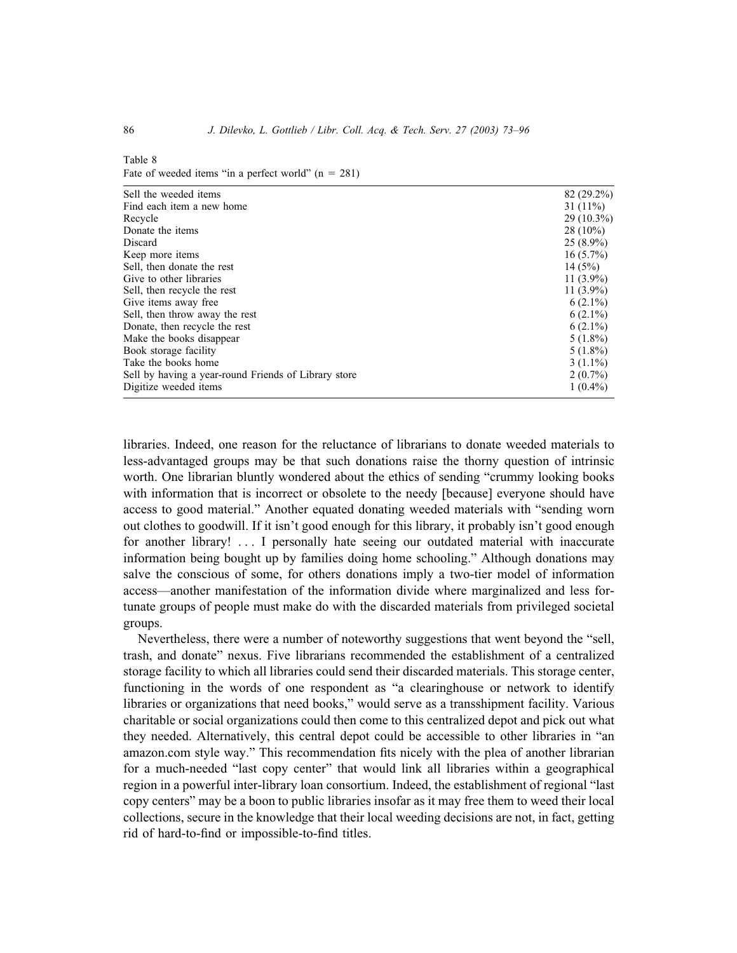| Sell the weeded items                                | $82(29.2\%)$ |
|------------------------------------------------------|--------------|
| Find each item a new home                            | $31(11\%)$   |
| Recycle                                              | $29(10.3\%)$ |
| Donate the items                                     | $28(10\%)$   |
| Discard                                              | $25(8.9\%)$  |
| Keep more items                                      | $16(5.7\%)$  |
| Sell, then donate the rest                           | 14(5%)       |
| Give to other libraries                              | 11 $(3.9\%)$ |
| Sell, then recycle the rest                          | $11(3.9\%)$  |
| Give items away free                                 | $6(2.1\%)$   |
| Sell, then throw away the rest                       | $6(2.1\%)$   |
| Donate, then recycle the rest                        | $6(2.1\%)$   |
| Make the books disappear                             | $5(1.8\%)$   |
| Book storage facility                                | $5(1.8\%)$   |
| Take the books home                                  | $3(1.1\%)$   |
| Sell by having a year-round Friends of Library store | $2(0.7\%)$   |
| Digitize weeded items                                | $1(0.4\%)$   |

Table 8 Fate of weeded items "in a perfect world"  $(n = 281)$ 

libraries. Indeed, one reason for the reluctance of librarians to donate weeded materials to less-advantaged groups may be that such donations raise the thorny question of intrinsic worth. One librarian bluntly wondered about the ethics of sending "crummy looking books with information that is incorrect or obsolete to the needy [because] everyone should have access to good material." Another equated donating weeded materials with "sending worn out clothes to goodwill. If it isn't good enough for this library, it probably isn't good enough for another library! . . . I personally hate seeing our outdated material with inaccurate information being bought up by families doing home schooling." Although donations may salve the conscious of some, for others donations imply a two-tier model of information access—another manifestation of the information divide where marginalized and less fortunate groups of people must make do with the discarded materials from privileged societal groups.

Nevertheless, there were a number of noteworthy suggestions that went beyond the "sell, trash, and donate" nexus. Five librarians recommended the establishment of a centralized storage facility to which all libraries could send their discarded materials. This storage center, functioning in the words of one respondent as "a clearinghouse or network to identify libraries or organizations that need books," would serve as a transshipment facility. Various charitable or social organizations could then come to this centralized depot and pick out what they needed. Alternatively, this central depot could be accessible to other libraries in "an amazon.com style way." This recommendation fits nicely with the plea of another librarian for a much-needed "last copy center" that would link all libraries within a geographical region in a powerful inter-library loan consortium. Indeed, the establishment of regional "last copy centers" may be a boon to public libraries insofar as it may free them to weed their local collections, secure in the knowledge that their local weeding decisions are not, in fact, getting rid of hard-to-find or impossible-to-find titles.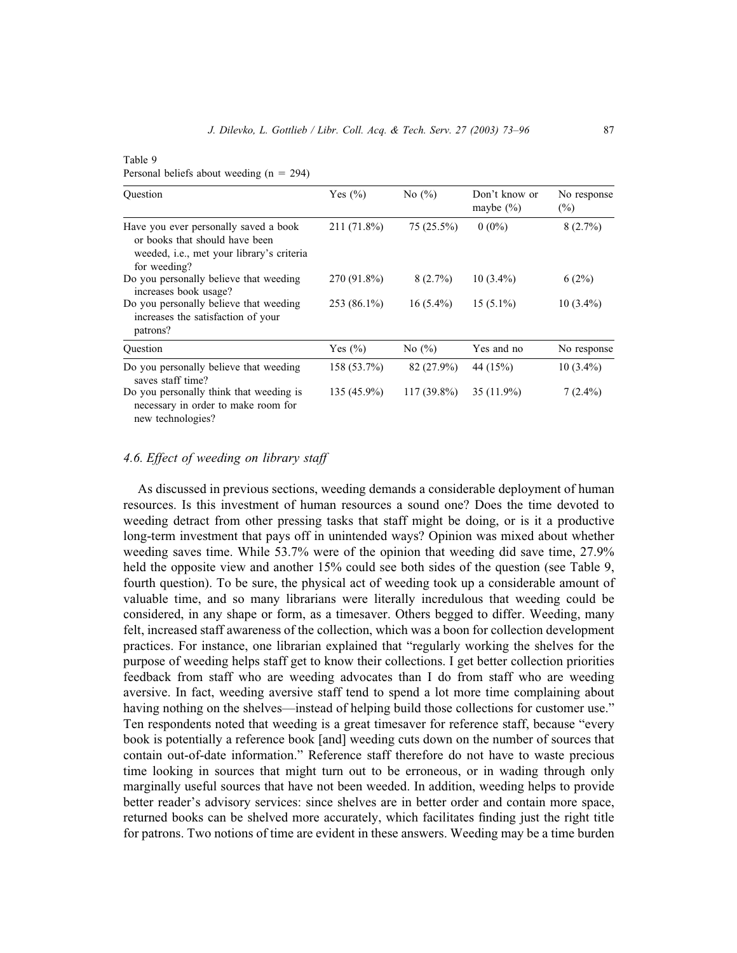| I CISONAI OCHCIS about wecumg (II)<br>27T                                                                                                    |               |               |                                |                       |  |
|----------------------------------------------------------------------------------------------------------------------------------------------|---------------|---------------|--------------------------------|-----------------------|--|
| Question                                                                                                                                     | Yes $(\% )$   | No $(\%)$     | Don't know or<br>maybe $(\% )$ | No response<br>$(\%)$ |  |
| Have you ever personally saved a book<br>or books that should have been<br>weeded, <i>i.e.</i> , met your library's criteria<br>for weeding? | 211 (71.8%)   | $75(25.5\%)$  | $0(0\%)$                       | $8(2.7\%)$            |  |
| Do you personally believe that weeding<br>increases book usage?                                                                              | 270 (91.8%)   | $8(2.7\%)$    | $10(3.4\%)$                    | 6(2%)                 |  |
| Do you personally believe that weeding<br>increases the satisfaction of your<br>patrons?                                                     | 253 (86.1%)   | $16(5.4\%)$   | $15(5.1\%)$                    | $10(3.4\%)$           |  |
| Ouestion                                                                                                                                     | Yes $(\% )$   | No $(\%)$     | Yes and no                     | No response           |  |
| Do you personally believe that weeding<br>saves staff time?                                                                                  | 158 (53.7%)   | 82 (27.9%)    | 44 (15%)                       | $10(3.4\%)$           |  |
| Do you personally think that weeding is<br>necessary in order to make room for<br>new technologies?                                          | $135(45.9\%)$ | $117(39.8\%)$ | $35(11.9\%)$                   | $7(2.4\%)$            |  |

#### Table 9 Personal beliefs about weeding  $(n = 294)$

# *4.6. Effect of weeding on library staff*

As discussed in previous sections, weeding demands a considerable deployment of human resources. Is this investment of human resources a sound one? Does the time devoted to weeding detract from other pressing tasks that staff might be doing, or is it a productive long-term investment that pays off in unintended ways? Opinion was mixed about whether weeding saves time. While 53.7% were of the opinion that weeding did save time, 27.9% held the opposite view and another 15% could see both sides of the question (see Table 9, fourth question). To be sure, the physical act of weeding took up a considerable amount of valuable time, and so many librarians were literally incredulous that weeding could be considered, in any shape or form, as a timesaver. Others begged to differ. Weeding, many felt, increased staff awareness of the collection, which was a boon for collection development practices. For instance, one librarian explained that "regularly working the shelves for the purpose of weeding helps staff get to know their collections. I get better collection priorities feedback from staff who are weeding advocates than I do from staff who are weeding aversive. In fact, weeding aversive staff tend to spend a lot more time complaining about having nothing on the shelves—instead of helping build those collections for customer use." Ten respondents noted that weeding is a great timesaver for reference staff, because "every book is potentially a reference book [and] weeding cuts down on the number of sources that contain out-of-date information." Reference staff therefore do not have to waste precious time looking in sources that might turn out to be erroneous, or in wading through only marginally useful sources that have not been weeded. In addition, weeding helps to provide better reader's advisory services: since shelves are in better order and contain more space, returned books can be shelved more accurately, which facilitates finding just the right title for patrons. Two notions of time are evident in these answers. Weeding may be a time burden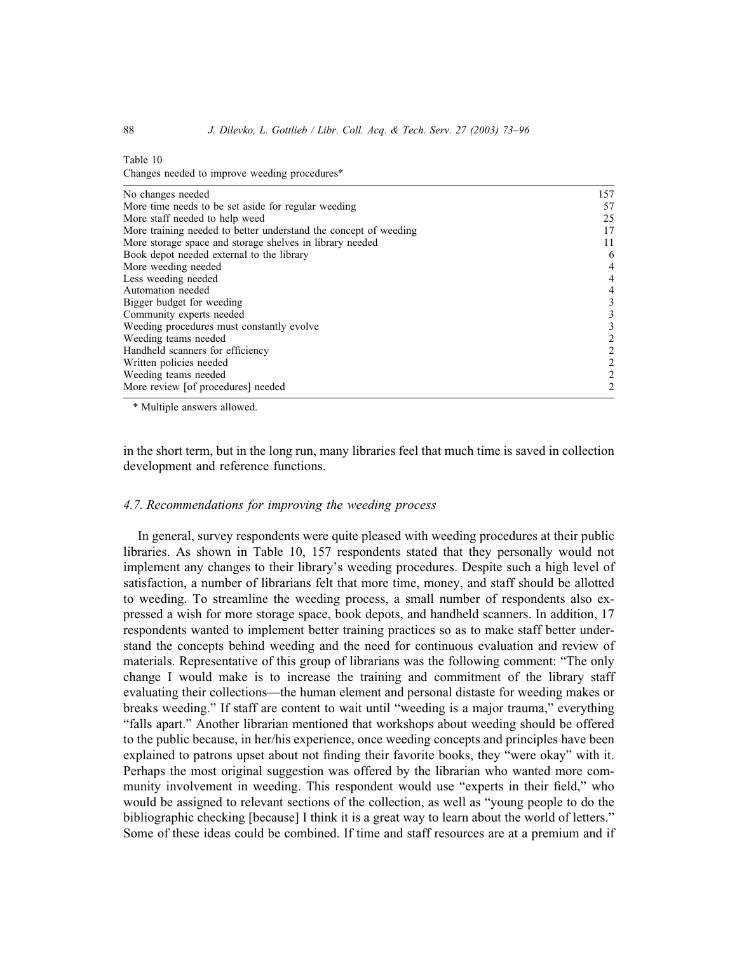Table 10 Changes needed to improve weeding procedures\*

| No changes needed                                                | 157 |
|------------------------------------------------------------------|-----|
| More time needs to be set aside for regular weeding              | 57  |
| More staff needed to help weed                                   | 25  |
| More training needed to better understand the concept of weeding | 17  |
| More storage space and storage shelves in library needed         | 11  |
| Book depot needed external to the library                        | 6   |
| More weeding needed                                              | 4   |
| Less weeding needed                                              |     |
| Automation needed                                                |     |
| Bigger budget for weeding                                        | 3   |
| Community experts needed                                         | 3   |
| Weeding procedures must constantly evolve                        | 3   |
| Weeding teams needed                                             |     |
| Handheld scanners for efficiency                                 | 2   |
| Written policies needed                                          | 2   |
| Weeding teams needed                                             | 2   |
| More review [of procedures] needed                               | 2   |

\* Multiple answers allowed.

in the short term, but in the long run, many libraries feel that much time is saved in collection development and reference functions.

# *4.7. Recommendations for improving the weeding process*

In general, survey respondents were quite pleased with weeding procedures at their public libraries. As shown in Table 10, 157 respondents stated that they personally would not implement any changes to their library's weeding procedures. Despite such a high level of satisfaction, a number of librarians felt that more time, money, and staff should be allotted to weeding. To streamline the weeding process, a small number of respondents also expressed a wish for more storage space, book depots, and handheld scanners. In addition, 17 respondents wanted to implement better training practices so as to make staff better understand the concepts behind weeding and the need for continuous evaluation and review of materials. Representative of this group of librarians was the following comment: "The only change I would make is to increase the training and commitment of the library staff evaluating their collections—the human element and personal distaste for weeding makes or breaks weeding." If staff are content to wait until "weeding is a major trauma," everything "falls apart." Another librarian mentioned that workshops about weeding should be offered to the public because, in her/his experience, once weeding concepts and principles have been explained to patrons upset about not finding their favorite books, they "were okay" with it. Perhaps the most original suggestion was offered by the librarian who wanted more community involvement in weeding. This respondent would use "experts in their field," who would be assigned to relevant sections of the collection, as well as "young people to do the bibliographic checking [because] I think it is a great way to learn about the world of letters." Some of these ideas could be combined. If time and staff resources are at a premium and if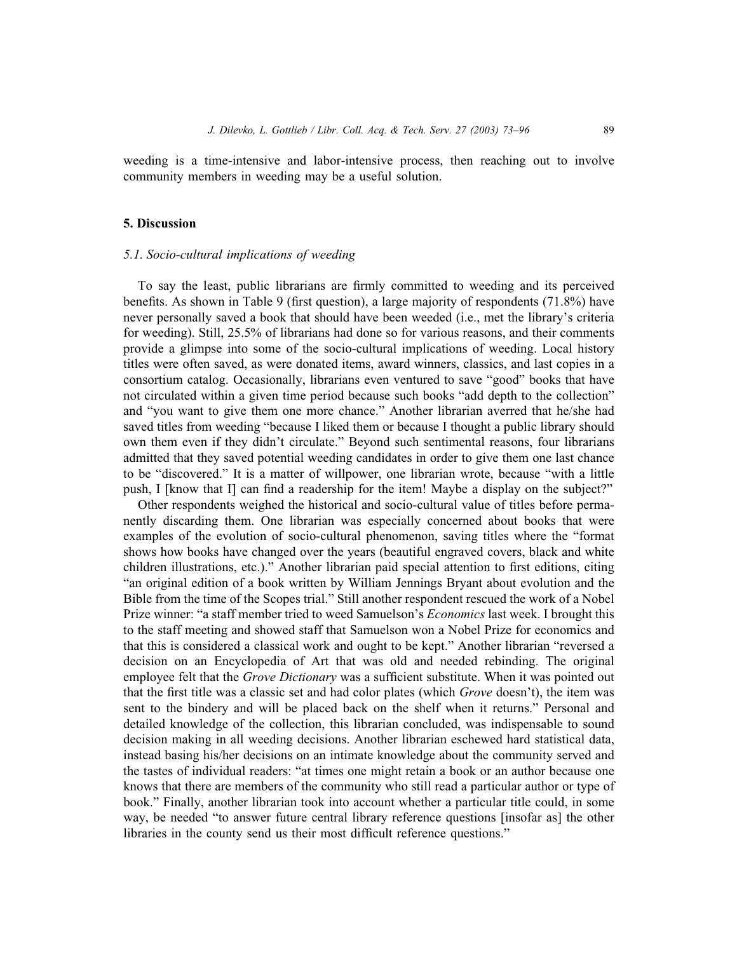weeding is a time-intensive and labor-intensive process, then reaching out to involve community members in weeding may be a useful solution.

# **5. Discussion**

# *5.1. Socio-cultural implications of weeding*

To say the least, public librarians are firmly committed to weeding and its perceived benefits. As shown in Table 9 (first question), a large majority of respondents (71.8%) have never personally saved a book that should have been weeded (i.e., met the library's criteria for weeding). Still, 25.5% of librarians had done so for various reasons, and their comments provide a glimpse into some of the socio-cultural implications of weeding. Local history titles were often saved, as were donated items, award winners, classics, and last copies in a consortium catalog. Occasionally, librarians even ventured to save "good" books that have not circulated within a given time period because such books "add depth to the collection" and "you want to give them one more chance." Another librarian averred that he/she had saved titles from weeding "because I liked them or because I thought a public library should own them even if they didn't circulate." Beyond such sentimental reasons, four librarians admitted that they saved potential weeding candidates in order to give them one last chance to be "discovered." It is a matter of willpower, one librarian wrote, because "with a little push, I [know that I] can find a readership for the item! Maybe a display on the subject?"

Other respondents weighed the historical and socio-cultural value of titles before permanently discarding them. One librarian was especially concerned about books that were examples of the evolution of socio-cultural phenomenon, saving titles where the "format shows how books have changed over the years (beautiful engraved covers, black and white children illustrations, etc.)." Another librarian paid special attention to first editions, citing "an original edition of a book written by William Jennings Bryant about evolution and the Bible from the time of the Scopes trial." Still another respondent rescued the work of a Nobel Prize winner: "a staff member tried to weed Samuelson's *Economics* last week. I brought this to the staff meeting and showed staff that Samuelson won a Nobel Prize for economics and that this is considered a classical work and ought to be kept." Another librarian "reversed a decision on an Encyclopedia of Art that was old and needed rebinding. The original employee felt that the *Grove Dictionary* was a sufficient substitute. When it was pointed out that the first title was a classic set and had color plates (which *Grove* doesn't), the item was sent to the bindery and will be placed back on the shelf when it returns." Personal and detailed knowledge of the collection, this librarian concluded, was indispensable to sound decision making in all weeding decisions. Another librarian eschewed hard statistical data, instead basing his/her decisions on an intimate knowledge about the community served and the tastes of individual readers: "at times one might retain a book or an author because one knows that there are members of the community who still read a particular author or type of book." Finally, another librarian took into account whether a particular title could, in some way, be needed "to answer future central library reference questions [insofar as] the other libraries in the county send us their most difficult reference questions."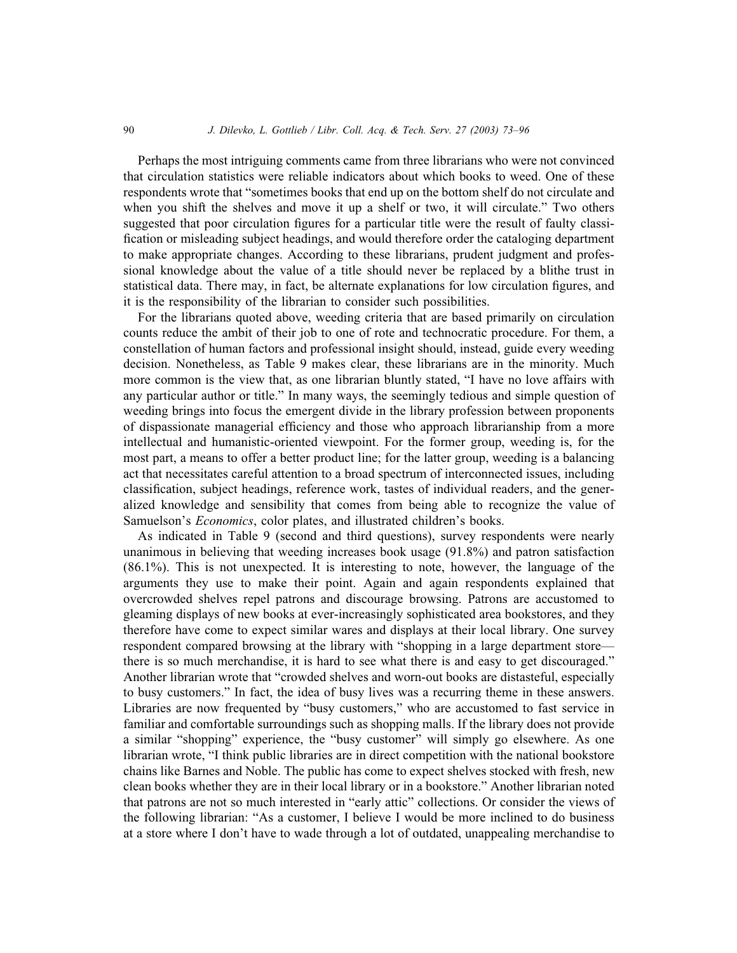Perhaps the most intriguing comments came from three librarians who were not convinced that circulation statistics were reliable indicators about which books to weed. One of these respondents wrote that "sometimes books that end up on the bottom shelf do not circulate and when you shift the shelves and move it up a shelf or two, it will circulate." Two others suggested that poor circulation figures for a particular title were the result of faulty classification or misleading subject headings, and would therefore order the cataloging department to make appropriate changes. According to these librarians, prudent judgment and professional knowledge about the value of a title should never be replaced by a blithe trust in statistical data. There may, in fact, be alternate explanations for low circulation figures, and it is the responsibility of the librarian to consider such possibilities.

For the librarians quoted above, weeding criteria that are based primarily on circulation counts reduce the ambit of their job to one of rote and technocratic procedure. For them, a constellation of human factors and professional insight should, instead, guide every weeding decision. Nonetheless, as Table 9 makes clear, these librarians are in the minority. Much more common is the view that, as one librarian bluntly stated, "I have no love affairs with any particular author or title." In many ways, the seemingly tedious and simple question of weeding brings into focus the emergent divide in the library profession between proponents of dispassionate managerial efficiency and those who approach librarianship from a more intellectual and humanistic-oriented viewpoint. For the former group, weeding is, for the most part, a means to offer a better product line; for the latter group, weeding is a balancing act that necessitates careful attention to a broad spectrum of interconnected issues, including classification, subject headings, reference work, tastes of individual readers, and the generalized knowledge and sensibility that comes from being able to recognize the value of Samuelson's *Economics*, color plates, and illustrated children's books.

As indicated in Table 9 (second and third questions), survey respondents were nearly unanimous in believing that weeding increases book usage (91.8%) and patron satisfaction (86.1%). This is not unexpected. It is interesting to note, however, the language of the arguments they use to make their point. Again and again respondents explained that overcrowded shelves repel patrons and discourage browsing. Patrons are accustomed to gleaming displays of new books at ever-increasingly sophisticated area bookstores, and they therefore have come to expect similar wares and displays at their local library. One survey respondent compared browsing at the library with "shopping in a large department store there is so much merchandise, it is hard to see what there is and easy to get discouraged." Another librarian wrote that "crowded shelves and worn-out books are distasteful, especially to busy customers." In fact, the idea of busy lives was a recurring theme in these answers. Libraries are now frequented by "busy customers," who are accustomed to fast service in familiar and comfortable surroundings such as shopping malls. If the library does not provide a similar "shopping" experience, the "busy customer" will simply go elsewhere. As one librarian wrote, "I think public libraries are in direct competition with the national bookstore chains like Barnes and Noble. The public has come to expect shelves stocked with fresh, new clean books whether they are in their local library or in a bookstore." Another librarian noted that patrons are not so much interested in "early attic" collections. Or consider the views of the following librarian: "As a customer, I believe I would be more inclined to do business at a store where I don't have to wade through a lot of outdated, unappealing merchandise to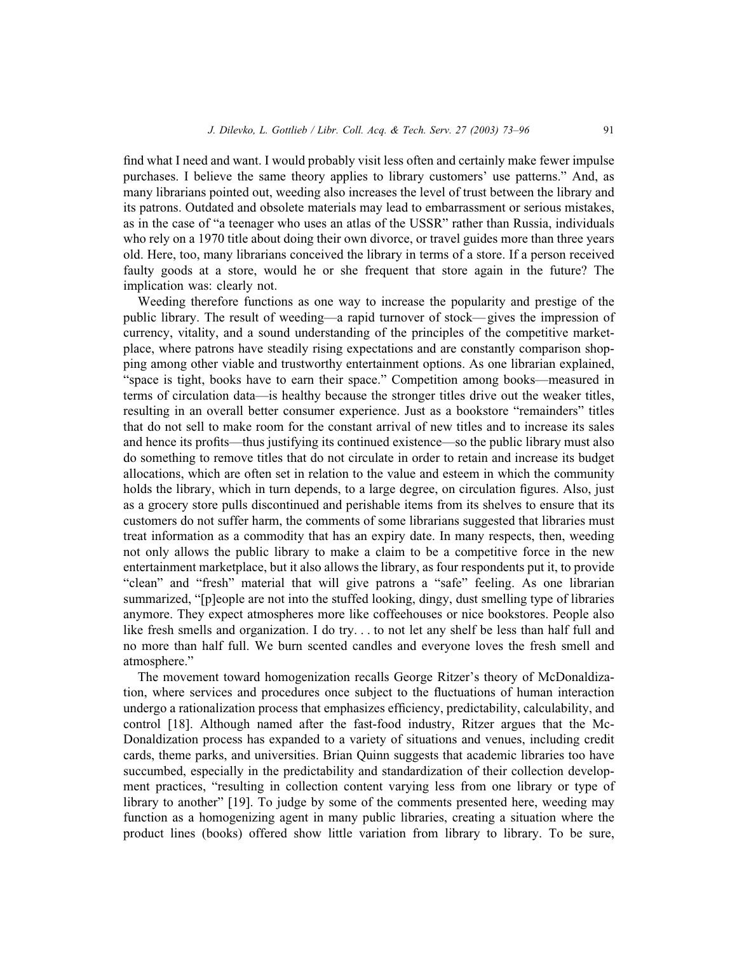find what I need and want. I would probably visit less often and certainly make fewer impulse purchases. I believe the same theory applies to library customers' use patterns." And, as many librarians pointed out, weeding also increases the level of trust between the library and its patrons. Outdated and obsolete materials may lead to embarrassment or serious mistakes, as in the case of "a teenager who uses an atlas of the USSR" rather than Russia, individuals who rely on a 1970 title about doing their own divorce, or travel guides more than three years old. Here, too, many librarians conceived the library in terms of a store. If a person received faulty goods at a store, would he or she frequent that store again in the future? The implication was: clearly not.

Weeding therefore functions as one way to increase the popularity and prestige of the public library. The result of weeding—a rapid turnover of stock— gives the impression of currency, vitality, and a sound understanding of the principles of the competitive marketplace, where patrons have steadily rising expectations and are constantly comparison shopping among other viable and trustworthy entertainment options. As one librarian explained, "space is tight, books have to earn their space." Competition among books—measured in terms of circulation data—is healthy because the stronger titles drive out the weaker titles, resulting in an overall better consumer experience. Just as a bookstore "remainders" titles that do not sell to make room for the constant arrival of new titles and to increase its sales and hence its profits—thus justifying its continued existence—so the public library must also do something to remove titles that do not circulate in order to retain and increase its budget allocations, which are often set in relation to the value and esteem in which the community holds the library, which in turn depends, to a large degree, on circulation figures. Also, just as a grocery store pulls discontinued and perishable items from its shelves to ensure that its customers do not suffer harm, the comments of some librarians suggested that libraries must treat information as a commodity that has an expiry date. In many respects, then, weeding not only allows the public library to make a claim to be a competitive force in the new entertainment marketplace, but it also allows the library, as four respondents put it, to provide "clean" and "fresh" material that will give patrons a "safe" feeling. As one librarian summarized, "[p]eople are not into the stuffed looking, dingy, dust smelling type of libraries anymore. They expect atmospheres more like coffeehouses or nice bookstores. People also like fresh smells and organization. I do try. . . to not let any shelf be less than half full and no more than half full. We burn scented candles and everyone loves the fresh smell and atmosphere."

The movement toward homogenization recalls George Ritzer's theory of McDonaldization, where services and procedures once subject to the fluctuations of human interaction undergo a rationalization process that emphasizes efficiency, predictability, calculability, and control [18]. Although named after the fast-food industry, Ritzer argues that the Mc-Donaldization process has expanded to a variety of situations and venues, including credit cards, theme parks, and universities. Brian Quinn suggests that academic libraries too have succumbed, especially in the predictability and standardization of their collection development practices, "resulting in collection content varying less from one library or type of library to another" [19]. To judge by some of the comments presented here, weeding may function as a homogenizing agent in many public libraries, creating a situation where the product lines (books) offered show little variation from library to library. To be sure,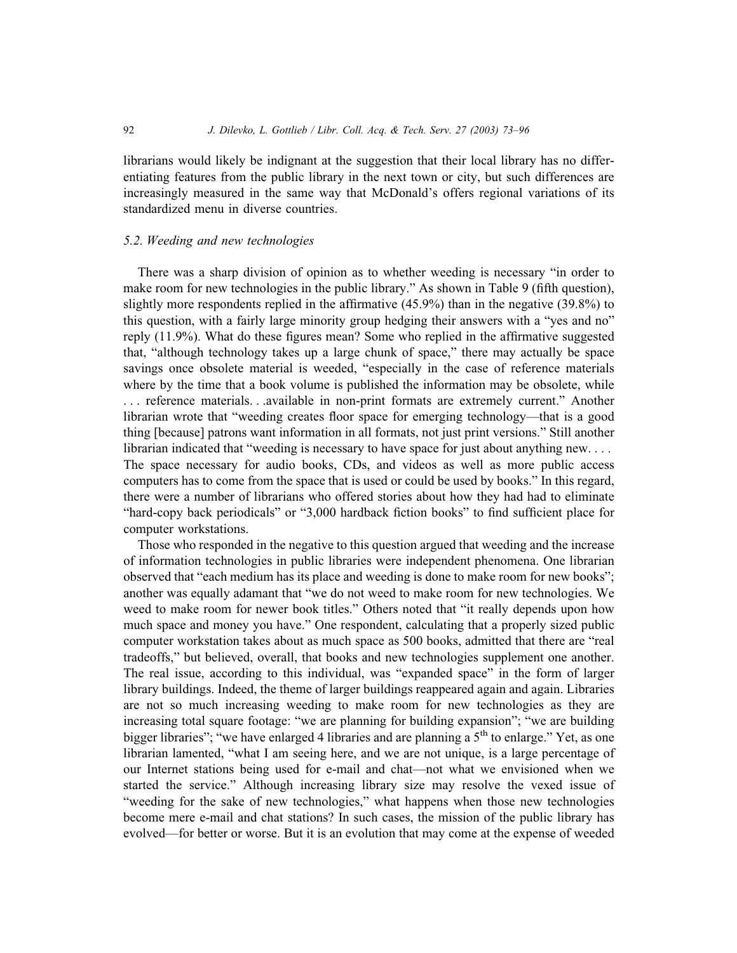librarians would likely be indignant at the suggestion that their local library has no differentiating features from the public library in the next town or city, but such differences are increasingly measured in the same way that McDonald's offers regional variations of its standardized menu in diverse countries.

# *5.2. Weeding and new technologies*

There was a sharp division of opinion as to whether weeding is necessary "in order to make room for new technologies in the public library." As shown in Table 9 (fifth question), slightly more respondents replied in the affirmative (45.9%) than in the negative (39.8%) to this question, with a fairly large minority group hedging their answers with a "yes and no" reply (11.9%). What do these figures mean? Some who replied in the affirmative suggested that, "although technology takes up a large chunk of space," there may actually be space savings once obsolete material is weeded, "especially in the case of reference materials where by the time that a book volume is published the information may be obsolete, while . . . reference materials. . .available in non-print formats are extremely current." Another librarian wrote that "weeding creates floor space for emerging technology—that is a good thing [because] patrons want information in all formats, not just print versions." Still another librarian indicated that "weeding is necessary to have space for just about anything new.... The space necessary for audio books, CDs, and videos as well as more public access computers has to come from the space that is used or could be used by books." In this regard, there were a number of librarians who offered stories about how they had had to eliminate "hard-copy back periodicals" or "3,000 hardback fiction books" to find sufficient place for computer workstations.

Those who responded in the negative to this question argued that weeding and the increase of information technologies in public libraries were independent phenomena. One librarian observed that "each medium has its place and weeding is done to make room for new books"; another was equally adamant that "we do not weed to make room for new technologies. We weed to make room for newer book titles." Others noted that "it really depends upon how much space and money you have." One respondent, calculating that a properly sized public computer workstation takes about as much space as 500 books, admitted that there are "real tradeoffs," but believed, overall, that books and new technologies supplement one another. The real issue, according to this individual, was "expanded space" in the form of larger library buildings. Indeed, the theme of larger buildings reappeared again and again. Libraries are not so much increasing weeding to make room for new technologies as they are increasing total square footage: "we are planning for building expansion"; "we are building bigger libraries"; "we have enlarged 4 libraries and are planning a 5<sup>th</sup> to enlarge." Yet, as one librarian lamented, "what I am seeing here, and we are not unique, is a large percentage of our Internet stations being used for e-mail and chat—not what we envisioned when we started the service." Although increasing library size may resolve the vexed issue of "weeding for the sake of new technologies," what happens when those new technologies become mere e-mail and chat stations? In such cases, the mission of the public library has evolved—for better or worse. But it is an evolution that may come at the expense of weeded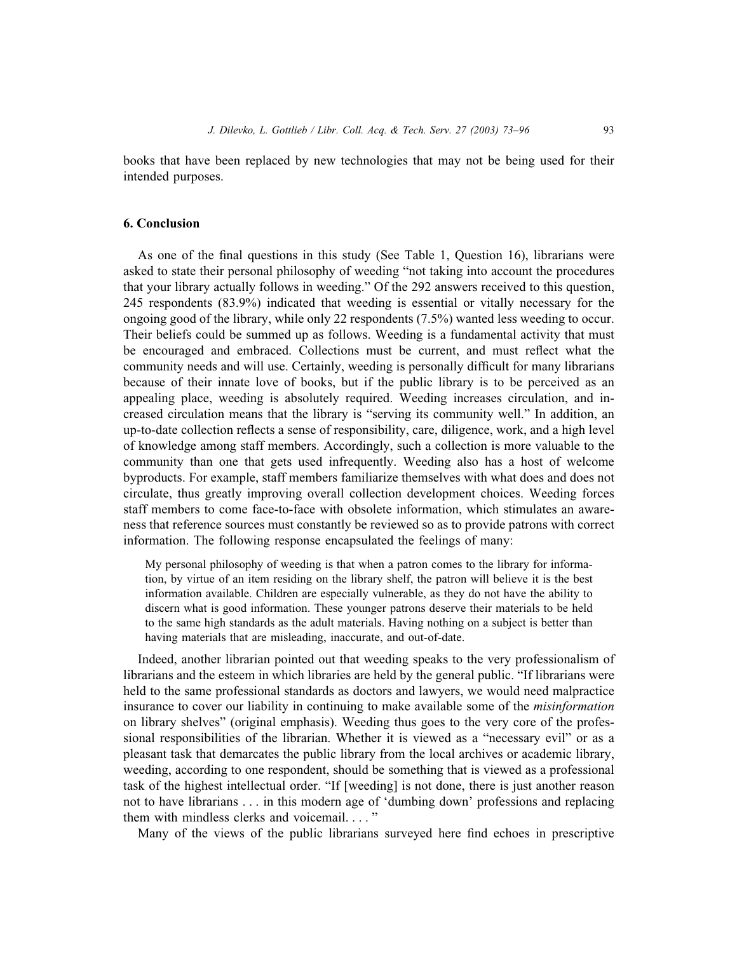books that have been replaced by new technologies that may not be being used for their intended purposes.

# **6. Conclusion**

As one of the final questions in this study (See Table 1, Question 16), librarians were asked to state their personal philosophy of weeding "not taking into account the procedures that your library actually follows in weeding." Of the 292 answers received to this question, 245 respondents (83.9%) indicated that weeding is essential or vitally necessary for the ongoing good of the library, while only 22 respondents (7.5%) wanted less weeding to occur. Their beliefs could be summed up as follows. Weeding is a fundamental activity that must be encouraged and embraced. Collections must be current, and must reflect what the community needs and will use. Certainly, weeding is personally difficult for many librarians because of their innate love of books, but if the public library is to be perceived as an appealing place, weeding is absolutely required. Weeding increases circulation, and increased circulation means that the library is "serving its community well." In addition, an up-to-date collection reflects a sense of responsibility, care, diligence, work, and a high level of knowledge among staff members. Accordingly, such a collection is more valuable to the community than one that gets used infrequently. Weeding also has a host of welcome byproducts. For example, staff members familiarize themselves with what does and does not circulate, thus greatly improving overall collection development choices. Weeding forces staff members to come face-to-face with obsolete information, which stimulates an awareness that reference sources must constantly be reviewed so as to provide patrons with correct information. The following response encapsulated the feelings of many:

My personal philosophy of weeding is that when a patron comes to the library for information, by virtue of an item residing on the library shelf, the patron will believe it is the best information available. Children are especially vulnerable, as they do not have the ability to discern what is good information. These younger patrons deserve their materials to be held to the same high standards as the adult materials. Having nothing on a subject is better than having materials that are misleading, inaccurate, and out-of-date.

Indeed, another librarian pointed out that weeding speaks to the very professionalism of librarians and the esteem in which libraries are held by the general public. "If librarians were held to the same professional standards as doctors and lawyers, we would need malpractice insurance to cover our liability in continuing to make available some of the *misinformation* on library shelves" (original emphasis). Weeding thus goes to the very core of the professional responsibilities of the librarian. Whether it is viewed as a "necessary evil" or as a pleasant task that demarcates the public library from the local archives or academic library, weeding, according to one respondent, should be something that is viewed as a professional task of the highest intellectual order. "If [weeding] is not done, there is just another reason not to have librarians . . . in this modern age of 'dumbing down' professions and replacing them with mindless clerks and voicemail. . . . "

Many of the views of the public librarians surveyed here find echoes in prescriptive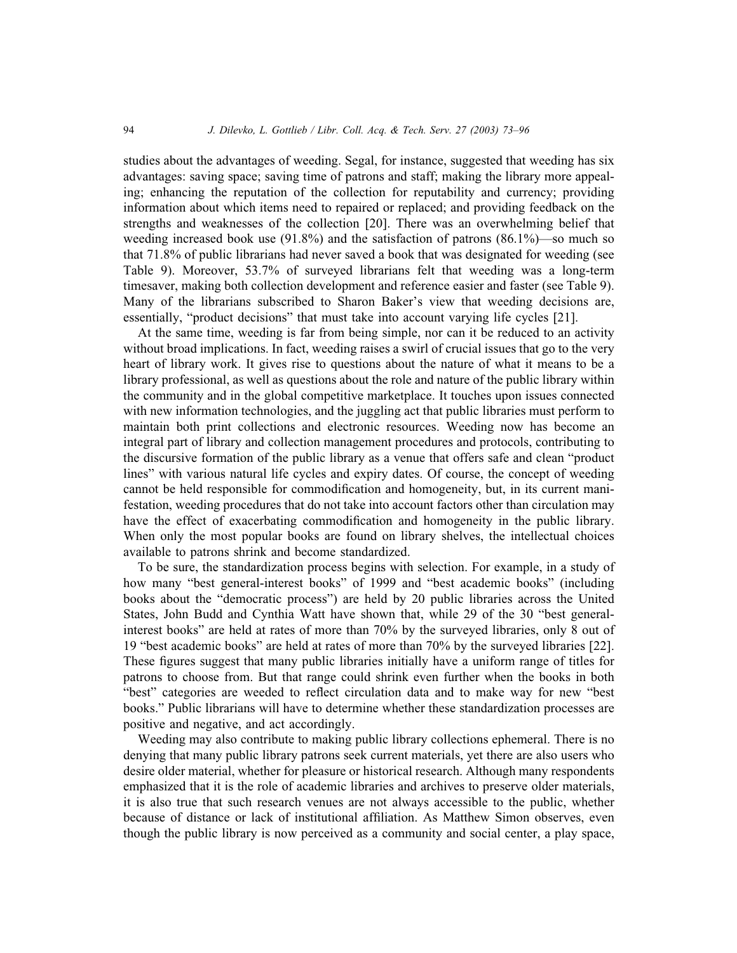studies about the advantages of weeding. Segal, for instance, suggested that weeding has six advantages: saving space; saving time of patrons and staff; making the library more appealing; enhancing the reputation of the collection for reputability and currency; providing information about which items need to repaired or replaced; and providing feedback on the strengths and weaknesses of the collection [20]. There was an overwhelming belief that weeding increased book use  $(91.8\%)$  and the satisfaction of patrons  $(86.1\%)$ —so much so that 71.8% of public librarians had never saved a book that was designated for weeding (see Table 9). Moreover, 53.7% of surveyed librarians felt that weeding was a long-term timesaver, making both collection development and reference easier and faster (see Table 9). Many of the librarians subscribed to Sharon Baker's view that weeding decisions are, essentially, "product decisions" that must take into account varying life cycles [21].

At the same time, weeding is far from being simple, nor can it be reduced to an activity without broad implications. In fact, weeding raises a swirl of crucial issues that go to the very heart of library work. It gives rise to questions about the nature of what it means to be a library professional, as well as questions about the role and nature of the public library within the community and in the global competitive marketplace. It touches upon issues connected with new information technologies, and the juggling act that public libraries must perform to maintain both print collections and electronic resources. Weeding now has become an integral part of library and collection management procedures and protocols, contributing to the discursive formation of the public library as a venue that offers safe and clean "product lines" with various natural life cycles and expiry dates. Of course, the concept of weeding cannot be held responsible for commodification and homogeneity, but, in its current manifestation, weeding procedures that do not take into account factors other than circulation may have the effect of exacerbating commodification and homogeneity in the public library. When only the most popular books are found on library shelves, the intellectual choices available to patrons shrink and become standardized.

To be sure, the standardization process begins with selection. For example, in a study of how many "best general-interest books" of 1999 and "best academic books" (including books about the "democratic process") are held by 20 public libraries across the United States, John Budd and Cynthia Watt have shown that, while 29 of the 30 "best generalinterest books" are held at rates of more than 70% by the surveyed libraries, only 8 out of 19 "best academic books" are held at rates of more than 70% by the surveyed libraries [22]. These figures suggest that many public libraries initially have a uniform range of titles for patrons to choose from. But that range could shrink even further when the books in both "best" categories are weeded to reflect circulation data and to make way for new "best books." Public librarians will have to determine whether these standardization processes are positive and negative, and act accordingly.

Weeding may also contribute to making public library collections ephemeral. There is no denying that many public library patrons seek current materials, yet there are also users who desire older material, whether for pleasure or historical research. Although many respondents emphasized that it is the role of academic libraries and archives to preserve older materials, it is also true that such research venues are not always accessible to the public, whether because of distance or lack of institutional affiliation. As Matthew Simon observes, even though the public library is now perceived as a community and social center, a play space,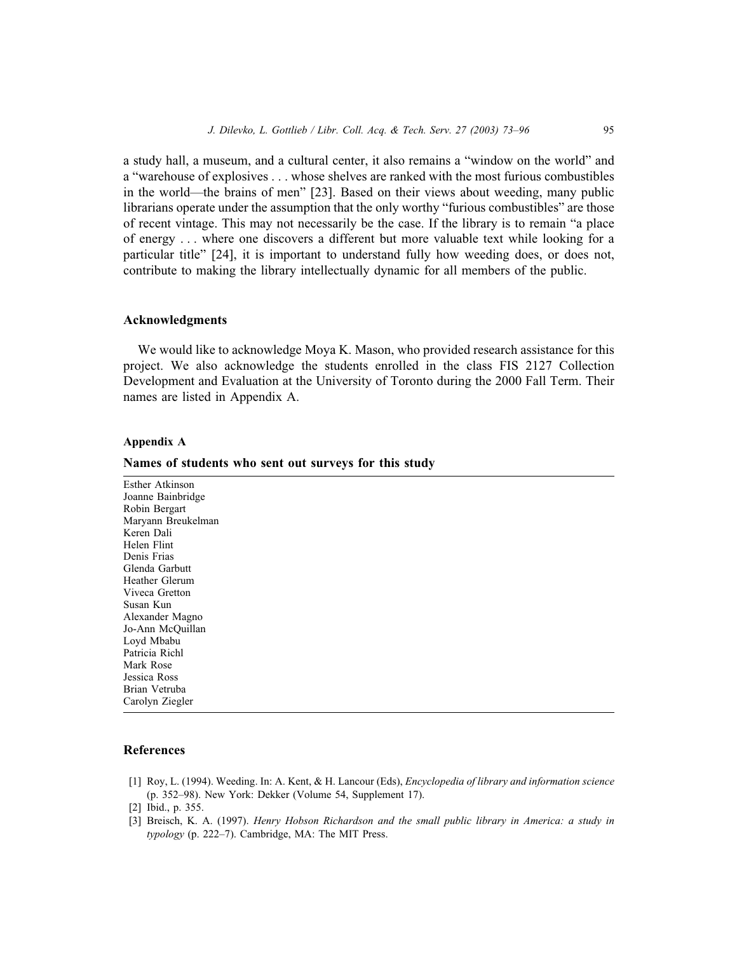a study hall, a museum, and a cultural center, it also remains a "window on the world" and a "warehouse of explosives . . . whose shelves are ranked with the most furious combustibles in the world—the brains of men" [23]. Based on their views about weeding, many public librarians operate under the assumption that the only worthy "furious combustibles" are those of recent vintage. This may not necessarily be the case. If the library is to remain "a place of energy . . . where one discovers a different but more valuable text while looking for a particular title" [24], it is important to understand fully how weeding does, or does not, contribute to making the library intellectually dynamic for all members of the public.

### **Acknowledgments**

We would like to acknowledge Moya K. Mason, who provided research assistance for this project. We also acknowledge the students enrolled in the class FIS 2127 Collection Development and Evaluation at the University of Toronto during the 2000 Fall Term. Their names are listed in Appendix A.

# **Appendix A**

# **Names of students who sent out surveys for this study**

Esther Atkinson Joanne Bainbridge Robin Bergart Maryann Breukelman Keren Dali Helen Flint Denis Frias Glenda Garbutt Heather Glerum Viveca Gretton Susan Kun Alexander Magno Jo-Ann McQuillan Loyd Mbabu Patricia Richl Mark Rose Jessica Ross Brian Vetruba Carolyn Ziegler

### **References**

[1] Roy, L. (1994). Weeding. In: A. Kent, & H. Lancour (Eds), *Encyclopedia of library and information science* (p. 352–98). New York: Dekker (Volume 54, Supplement 17).

[3] Breisch, K. A. (1997). *Henry Hobson Richardson and the small public library in America: a study in typology* (p. 222–7). Cambridge, MA: The MIT Press.

<sup>[2]</sup> Ibid., p. 355.